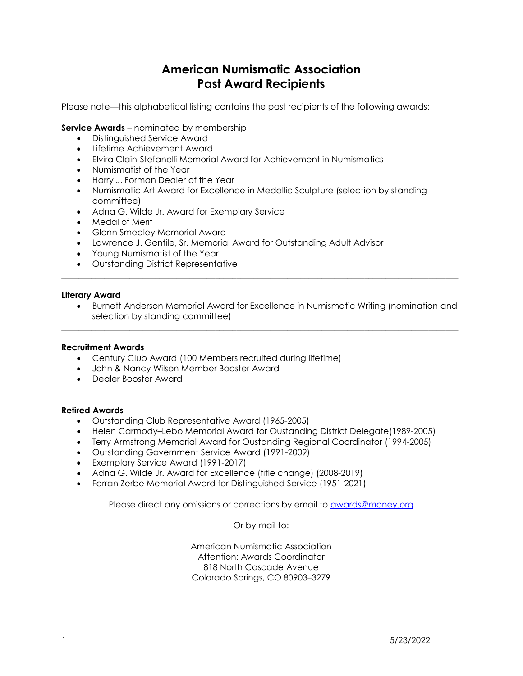# American Numismatic Association Past Award Recipients

Please note—this alphabetical listing contains the past recipients of the following awards:

## **Service Awards** – nominated by membership

- Distinguished Service Award
- Lifetime Achievement Award
- Elvira Clain-Stefanelli Memorial Award for Achievement in Numismatics
- Numismatist of the Year
- Harry J. Forman Dealer of the Year
- Numismatic Art Award for Excellence in Medallic Sculpture (selection by standing committee)
- Adna G. Wilde Jr. Award for Exemplary Service
- Medal of Merit
- Glenn Smedley Memorial Award
- Lawrence J. Gentile, Sr. Memorial Award for Outstanding Adult Advisor
- Young Numismatist of the Year
- Outstanding District Representative

#### Literary Award

 Burnett Anderson Memorial Award for Excellence in Numismatic Writing (nomination and selection by standing committee)

 $\overline{\phantom{a}}$  ,  $\overline{\phantom{a}}$  ,  $\overline{\phantom{a}}$  ,  $\overline{\phantom{a}}$  ,  $\overline{\phantom{a}}$  ,  $\overline{\phantom{a}}$  ,  $\overline{\phantom{a}}$  ,  $\overline{\phantom{a}}$  ,  $\overline{\phantom{a}}$  ,  $\overline{\phantom{a}}$  ,  $\overline{\phantom{a}}$  ,  $\overline{\phantom{a}}$  ,  $\overline{\phantom{a}}$  ,  $\overline{\phantom{a}}$  ,  $\overline{\phantom{a}}$  ,  $\overline{\phantom{a}}$ 

 $\mathcal{L}_\mathcal{L} = \{ \mathcal{L}_\mathcal{L} = \{ \mathcal{L}_\mathcal{L} = \{ \mathcal{L}_\mathcal{L} = \{ \mathcal{L}_\mathcal{L} = \{ \mathcal{L}_\mathcal{L} = \{ \mathcal{L}_\mathcal{L} = \{ \mathcal{L}_\mathcal{L} = \{ \mathcal{L}_\mathcal{L} = \{ \mathcal{L}_\mathcal{L} = \{ \mathcal{L}_\mathcal{L} = \{ \mathcal{L}_\mathcal{L} = \{ \mathcal{L}_\mathcal{L} = \{ \mathcal{L}_\mathcal{L} = \{ \mathcal{L}_\mathcal{$ 

 $\overline{\phantom{a}}$  , and the set of the set of the set of the set of the set of the set of the set of the set of the set of the set of the set of the set of the set of the set of the set of the set of the set of the set of the s

### Recruitment Awards

- Century Club Award (100 Members recruited during lifetime)
- John & Nancy Wilson Member Booster Award
- Dealer Booster Award

#### Retired Awards

- Outstanding Club Representative Award (1965-2005)
- Helen Carmody–Lebo Memorial Award for Oustanding District Delegate(1989-2005)
- Terry Armstrong Memorial Award for Oustanding Regional Coordinator (1994-2005)
- Outstanding Government Service Award (1991-2009)
- Exemplary Service Award (1991-2017)
- Adna G. Wilde Jr. Award for Excellence (title change) (2008-2019)
- Farran Zerbe Memorial Award for Distinguished Service (1951-2021)

Please direct any omissions or corrections by email to awards@money.org

Or by mail to:

American Numismatic Association Attention: Awards Coordinator 818 North Cascade Avenue Colorado Springs, CO 80903–3279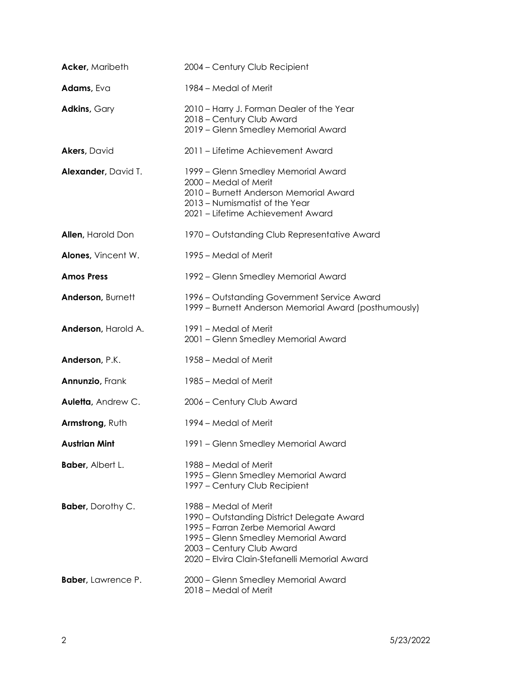| <b>Acker, Maribeth</b>    | 2004 - Century Club Recipient                                                                                                                                                                                                  |
|---------------------------|--------------------------------------------------------------------------------------------------------------------------------------------------------------------------------------------------------------------------------|
| Adams, Eva                | 1984 – Medal of Merit                                                                                                                                                                                                          |
| <b>Adkins, Gary</b>       | 2010 - Harry J. Forman Dealer of the Year<br>2018 - Century Club Award<br>2019 - Glenn Smedley Memorial Award                                                                                                                  |
| <b>Akers, David</b>       | 2011 - Lifetime Achievement Award                                                                                                                                                                                              |
| Alexander, David T.       | 1999 - Glenn Smedley Memorial Award<br>2000 – Medal of Merit<br>2010 – Burnett Anderson Memorial Award<br>2013 - Numismatist of the Year<br>2021 - Lifetime Achievement Award                                                  |
| <b>Allen, Harold Don</b>  | 1970 – Outstanding Club Representative Award                                                                                                                                                                                   |
| Alones, Vincent W.        | 1995 – Medal of Merit                                                                                                                                                                                                          |
| <b>Amos Press</b>         | 1992 – Glenn Smedley Memorial Award                                                                                                                                                                                            |
| Anderson, Burnett         | 1996 – Outstanding Government Service Award<br>1999 - Burnett Anderson Memorial Award (posthumously)                                                                                                                           |
| Anderson, Harold A.       | 1991 – Medal of Merit<br>2001 - Glenn Smedley Memorial Award                                                                                                                                                                   |
| Anderson, P.K.            | 1958 – Medal of Merit                                                                                                                                                                                                          |
| <b>Annunzio, Frank</b>    | 1985 – Medal of Merit                                                                                                                                                                                                          |
| Auletta, Andrew C.        | 2006 - Century Club Award                                                                                                                                                                                                      |
| Armstrong, Ruth           | 1994 – Medal of Merit                                                                                                                                                                                                          |
| <b>Austrian Mint</b>      | 1991 - Glenn Smedley Memorial Award                                                                                                                                                                                            |
| <b>Baber, Albert L.</b>   | 1988 – Medal of Merit<br>1995 - Glenn Smedley Memorial Award<br>1997 - Century Club Recipient                                                                                                                                  |
| <b>Baber</b> , Dorothy C. | 1988 – Medal of Merit<br>1990 – Outstanding District Delegate Award<br>1995 – Farran Zerbe Memorial Award<br>1995 - Glenn Smedley Memorial Award<br>2003 - Century Club Award<br>2020 - Elvira Clain-Stefanelli Memorial Award |
| <b>Baber, Lawrence P.</b> | 2000 - Glenn Smedley Memorial Award<br>2018 - Medal of Merit                                                                                                                                                                   |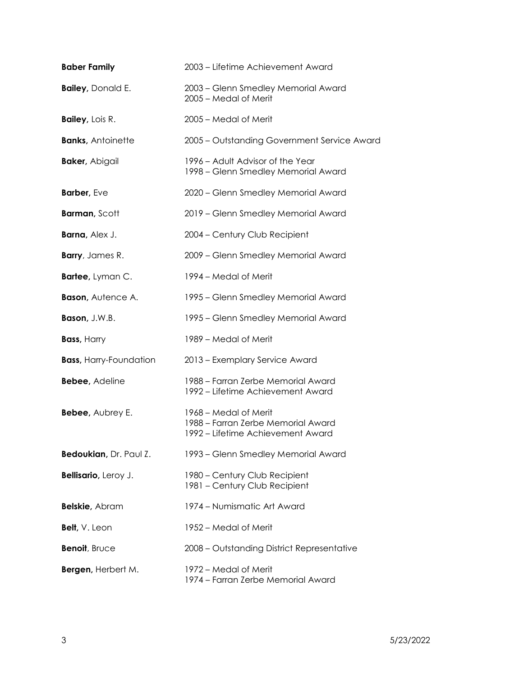| <b>Baber Family</b>           | 2003 - Lifetime Achievement Award                                                                |
|-------------------------------|--------------------------------------------------------------------------------------------------|
| <b>Bailey, Donald E.</b>      | 2003 – Glenn Smedley Memorial Award<br>2005 - Medal of Merit                                     |
| <b>Bailey, Lois R.</b>        | 2005 - Medal of Merit                                                                            |
| <b>Banks, Antoinette</b>      | 2005 - Outstanding Government Service Award                                                      |
| <b>Baker, Abigail</b>         | 1996 – Adult Advisor of the Year<br>1998 – Glenn Smedley Memorial Award                          |
| Barber, Eve                   | 2020 - Glenn Smedley Memorial Award                                                              |
| <b>Barman, Scott</b>          | 2019 - Glenn Smedley Memorial Award                                                              |
| <b>Barna, Alex J.</b>         | 2004 - Century Club Recipient                                                                    |
| <b>Barry</b> , James R.       | 2009 - Glenn Smedley Memorial Award                                                              |
| Bartee, Lyman C.              | 1994 – Medal of Merit                                                                            |
| <b>Bason, Autence A.</b>      | 1995 – Glenn Smedley Memorial Award                                                              |
| Bason, J.W.B.                 | 1995 – Glenn Smedley Memorial Award                                                              |
| <b>Bass, Harry</b>            | 1989 – Medal of Merit                                                                            |
| <b>Bass, Harry-Foundation</b> | 2013 - Exemplary Service Award                                                                   |
| <b>Bebee, Adeline</b>         | 1988 – Farran Zerbe Memorial Award<br>1992 – Lifetime Achievement Award                          |
| Bebee, Aubrey E.              | 1968 – Medal of Merit<br>1988 - Farran Zerbe Memorial Award<br>1992 – Lifetime Achievement Award |
| Bedoukian, Dr. Paul Z.        | 1993 – Glenn Smedley Memorial Award                                                              |
| Bellisario, Leroy J.          | 1980 - Century Club Recipient<br>1981 - Century Club Recipient                                   |
| <b>Belskie</b> , Abram        | 1974 – Numismatic Art Award                                                                      |
| Belt, V. Leon                 | 1952 – Medal of Merit                                                                            |
| Benoit, Bruce                 | 2008 - Outstanding District Representative                                                       |
| Bergen, Herbert M.            | 1972 – Medal of Merit<br>1974 – Farran Zerbe Memorial Award                                      |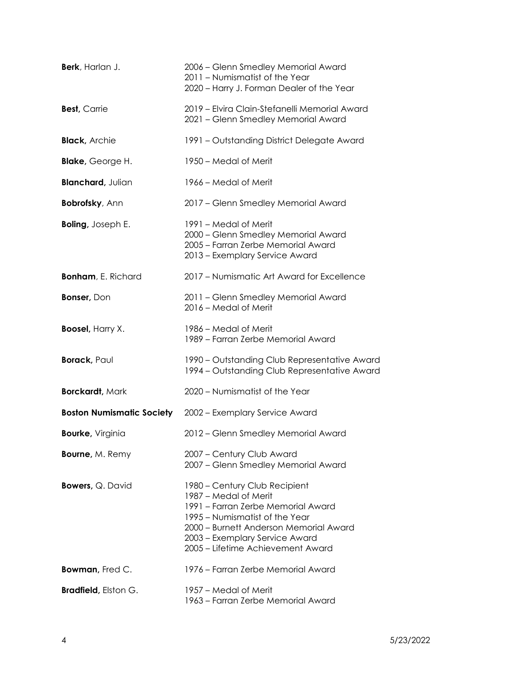| Berk, Harlan J.                  | 2006 – Glenn Smedley Memorial Award<br>2011 - Numismatist of the Year<br>2020 - Harry J. Forman Dealer of the Year                                                                                                                              |
|----------------------------------|-------------------------------------------------------------------------------------------------------------------------------------------------------------------------------------------------------------------------------------------------|
| <b>Best, Carrie</b>              | 2019 - Elvira Clain-Stefanelli Memorial Award<br>2021 - Glenn Smedley Memorial Award                                                                                                                                                            |
| <b>Black, Archie</b>             | 1991 - Outstanding District Delegate Award                                                                                                                                                                                                      |
| <b>Blake, George H.</b>          | 1950 – Medal of Merit                                                                                                                                                                                                                           |
| <b>Blanchard, Julian</b>         | 1966 – Medal of Merit                                                                                                                                                                                                                           |
| <b>Bobrofsky, Ann</b>            | 2017 - Glenn Smedley Memorial Award                                                                                                                                                                                                             |
| <b>Boling, Joseph E.</b>         | 1991 – Medal of Merit<br>2000 - Glenn Smedley Memorial Award<br>2005 - Farran Zerbe Memorial Award<br>2013 - Exemplary Service Award                                                                                                            |
| <b>Bonham, E. Richard</b>        | 2017 - Numismatic Art Award for Excellence                                                                                                                                                                                                      |
| <b>Bonser, Don</b>               | 2011 - Glenn Smedley Memorial Award<br>2016 - Medal of Merit                                                                                                                                                                                    |
| <b>Boosel, Harry X.</b>          | 1986 – Medal of Merit<br>1989 - Farran Zerbe Memorial Award                                                                                                                                                                                     |
| <b>Borack, Paul</b>              | 1990 – Outstanding Club Representative Award<br>1994 - Outstanding Club Representative Award                                                                                                                                                    |
| <b>Borckardt, Mark</b>           | 2020 - Numismatist of the Year                                                                                                                                                                                                                  |
| <b>Boston Numismatic Society</b> | 2002 - Exemplary Service Award                                                                                                                                                                                                                  |
| <b>Bourke, Virginia</b>          | 2012 - Glenn Smedley Memorial Award                                                                                                                                                                                                             |
| <b>Bourne, M. Remy</b>           | 2007 - Century Club Award<br>2007 - Glenn Smedley Memorial Award                                                                                                                                                                                |
| <b>Bowers, Q. David</b>          | 1980 - Century Club Recipient<br>1987 – Medal of Merit<br>1991 – Farran Zerbe Memorial Award<br>1995 – Numismatist of the Year<br>2000 – Burnett Anderson Memorial Award<br>2003 - Exemplary Service Award<br>2005 - Lifetime Achievement Award |
| Bowman, Fred C.                  | 1976 – Farran Zerbe Memorial Award                                                                                                                                                                                                              |
| <b>Bradfield</b> , Elston G.     | 1957 – Medal of Merit<br>1963 – Farran Zerbe Memorial Award                                                                                                                                                                                     |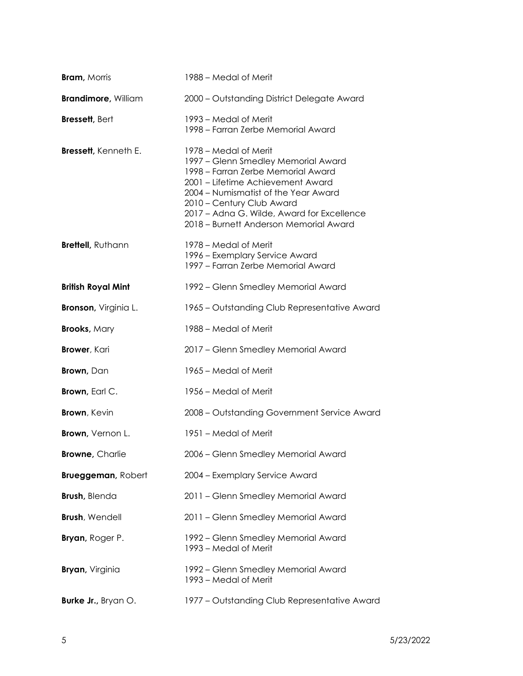| <b>Bram, Morris</b>          | 1988 – Medal of Merit                                                                                                                                                                                                                                                                                |
|------------------------------|------------------------------------------------------------------------------------------------------------------------------------------------------------------------------------------------------------------------------------------------------------------------------------------------------|
| <b>Brandimore, William</b>   | 2000 - Outstanding District Delegate Award                                                                                                                                                                                                                                                           |
| <b>Bressett, Bert</b>        | 1993 – Medal of Merit<br>1998 – Farran Zerbe Memorial Award                                                                                                                                                                                                                                          |
| <b>Bressett</b> , Kenneth E. | 1978 – Medal of Merit<br>1997 - Glenn Smedley Memorial Award<br>1998 – Farran Zerbe Memorial Award<br>2001 - Lifetime Achievement Award<br>2004 - Numismatist of the Year Award<br>2010 - Century Club Award<br>2017 - Adna G. Wilde, Award for Excellence<br>2018 - Burnett Anderson Memorial Award |
| Brettell, Ruthann            | 1978 – Medal of Merit<br>1996 – Exemplary Service Award<br>1997 – Farran Zerbe Memorial Award                                                                                                                                                                                                        |
| <b>British Royal Mint</b>    | 1992 – Glenn Smedley Memorial Award                                                                                                                                                                                                                                                                  |
| <b>Bronson</b> , Virginia L. | 1965 – Outstanding Club Representative Award                                                                                                                                                                                                                                                         |
| <b>Brooks, Mary</b>          | 1988 – Medal of Merit                                                                                                                                                                                                                                                                                |
| <b>Brower</b> , Kari         | 2017 - Glenn Smedley Memorial Award                                                                                                                                                                                                                                                                  |
| <b>Brown</b> , Dan           | 1965 – Medal of Merit                                                                                                                                                                                                                                                                                |
| <b>Brown</b> , Earl C.       | 1956 – Medal of Merit                                                                                                                                                                                                                                                                                |
| <b>Brown</b> , Kevin         | 2008 - Outstanding Government Service Award                                                                                                                                                                                                                                                          |
| Brown, Vernon L.             | 1951 – Medal of Merit                                                                                                                                                                                                                                                                                |
| <b>Browne, Charlie</b>       | 2006 - Glenn Smedley Memorial Award                                                                                                                                                                                                                                                                  |
| <b>Brueggeman, Robert</b>    | 2004 - Exemplary Service Award                                                                                                                                                                                                                                                                       |
| <b>Brush</b> , Blenda        | 2011 - Glenn Smedley Memorial Award                                                                                                                                                                                                                                                                  |
| <b>Brush, Wendell</b>        | 2011 - Glenn Smedley Memorial Award                                                                                                                                                                                                                                                                  |
| <b>Bryan</b> , Roger P.      | 1992 – Glenn Smedley Memorial Award<br>1993 – Medal of Merit                                                                                                                                                                                                                                         |
| <b>Bryan</b> , Virginia      | 1992 – Glenn Smedley Memorial Award<br>1993 – Medal of Merit                                                                                                                                                                                                                                         |
| <b>Burke Jr.</b> , Bryan O.  | 1977 - Outstanding Club Representative Award                                                                                                                                                                                                                                                         |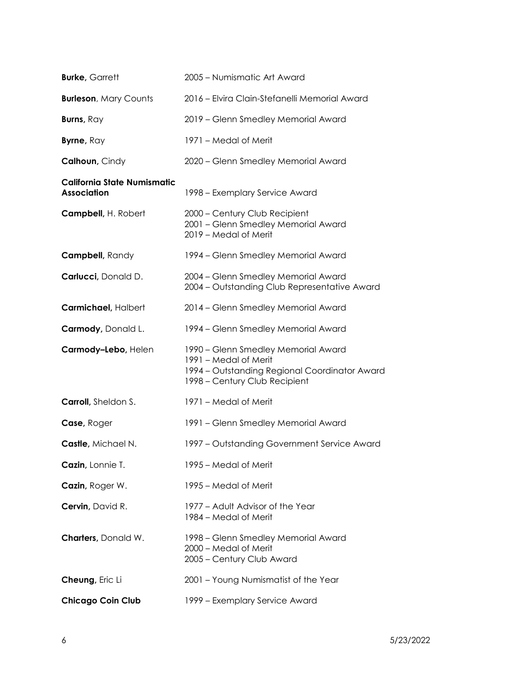| <b>Burke, Garrett</b>                             | 2005 – Numismatic Art Award                                                                                                                    |
|---------------------------------------------------|------------------------------------------------------------------------------------------------------------------------------------------------|
| <b>Burleson, Mary Counts</b>                      | 2016 – Elvira Clain-Stefanelli Memorial Award                                                                                                  |
| Burns, Ray                                        | 2019 - Glenn Smedley Memorial Award                                                                                                            |
| Byrne, Ray                                        | 1971 – Medal of Merit                                                                                                                          |
| <b>Calhoun, Cindy</b>                             | 2020 - Glenn Smedley Memorial Award                                                                                                            |
| California State Numismatic<br><b>Association</b> | 1998 – Exemplary Service Award                                                                                                                 |
| Campbell, H. Robert                               | 2000 - Century Club Recipient<br>2001 - Glenn Smedley Memorial Award<br>2019 - Medal of Merit                                                  |
| Campbell, Randy                                   | 1994 – Glenn Smedley Memorial Award                                                                                                            |
| Carlucci, Donald D.                               | 2004 - Glenn Smedley Memorial Award<br>2004 - Outstanding Club Representative Award                                                            |
| Carmichael, Halbert                               | 2014 - Glenn Smedley Memorial Award                                                                                                            |
| Carmody, Donald L.                                | 1994 – Glenn Smedley Memorial Award                                                                                                            |
| Carmody-Lebo, Helen                               | 1990 – Glenn Smedley Memorial Award<br>1991 - Medal of Merit<br>1994 - Outstanding Regional Coordinator Award<br>1998 - Century Club Recipient |
| <b>Carroll</b> , Sheldon S.                       | 1971 – Medal of Merit                                                                                                                          |
| Case, Roger                                       | 1991 - Glenn Smedley Memorial Award                                                                                                            |
| Castle, Michael N.                                | 1997 – Outstanding Government Service Award                                                                                                    |
| Cazin, Lonnie T.                                  | 1995 – Medal of Merit                                                                                                                          |
| Cazin, Roger W.                                   | 1995 – Medal of Merit                                                                                                                          |
| Cervin, David R.                                  | 1977 – Adult Advisor of the Year<br>1984 – Medal of Merit                                                                                      |
| <b>Charters</b> , Donald W.                       | 1998 – Glenn Smedley Memorial Award<br>2000 - Medal of Merit<br>2005 - Century Club Award                                                      |
| Cheung, Eric Li                                   | 2001 - Young Numismatist of the Year                                                                                                           |
| <b>Chicago Coin Club</b>                          | 1999 – Exemplary Service Award                                                                                                                 |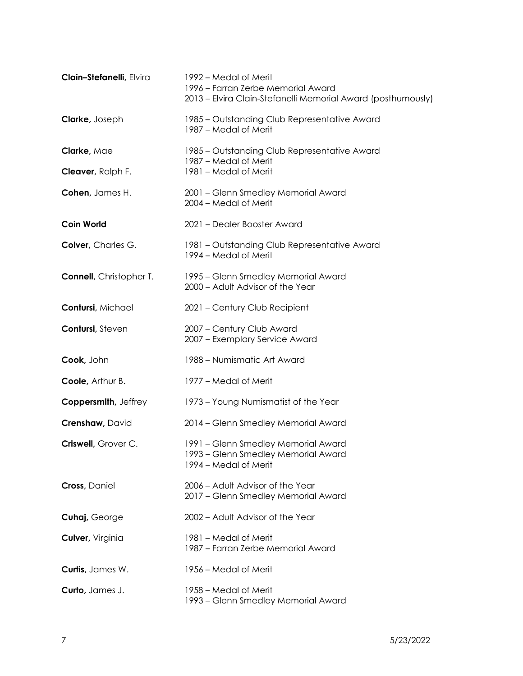| Clain-Stefanelli, Elvira        | 1992 – Medal of Merit<br>1996 - Farran Zerbe Memorial Award<br>2013 – Elvira Clain-Stefanelli Memorial Award (posthumously) |
|---------------------------------|-----------------------------------------------------------------------------------------------------------------------------|
| <b>Clarke, Joseph</b>           | 1985 - Outstanding Club Representative Award<br>1987 - Medal of Merit                                                       |
| Clarke, Mae                     | 1985 – Outstanding Club Representative Award<br>1987 – Medal of Merit                                                       |
| Cleaver, Ralph F.               | 1981 - Medal of Merit                                                                                                       |
| Cohen, James H.                 | 2001 - Glenn Smedley Memorial Award<br>2004 – Medal of Merit                                                                |
| <b>Coin World</b>               | 2021 - Dealer Booster Award                                                                                                 |
| Colver, Charles G.              | 1981 – Outstanding Club Representative Award<br>1994 - Medal of Merit                                                       |
| <b>Connell</b> , Christopher T. | 1995 - Glenn Smedley Memorial Award<br>2000 - Adult Advisor of the Year                                                     |
| Contursi, Michael               | 2021 - Century Club Recipient                                                                                               |
| Contursi, Steven                | 2007 - Century Club Award<br>2007 - Exemplary Service Award                                                                 |
| Cook, John                      | 1988 - Numismatic Art Award                                                                                                 |
| Coole, Arthur B.                | 1977 – Medal of Merit                                                                                                       |
| Coppersmith, Jeffrey            | 1973 - Young Numismatist of the Year                                                                                        |
| Crenshaw, David                 | 2014 - Glenn Smedley Memorial Award                                                                                         |
| Criswell, Grover C.             | 1991 - Glenn Smedley Memorial Award<br>1993 - Glenn Smedley Memorial Award<br>1994 – Medal of Merit                         |
| Cross, Daniel                   | 2006 - Adult Advisor of the Year<br>2017 - Glenn Smedley Memorial Award                                                     |
| Cuhaj, George                   | 2002 - Adult Advisor of the Year                                                                                            |
| Culver, Virginia                | 1981 – Medal of Merit<br>1987 - Farran Zerbe Memorial Award                                                                 |
| Curtis, James W.                | 1956 – Medal of Merit                                                                                                       |
| Curto, James J.                 | 1958 – Medal of Merit<br>1993 – Glenn Smedley Memorial Award                                                                |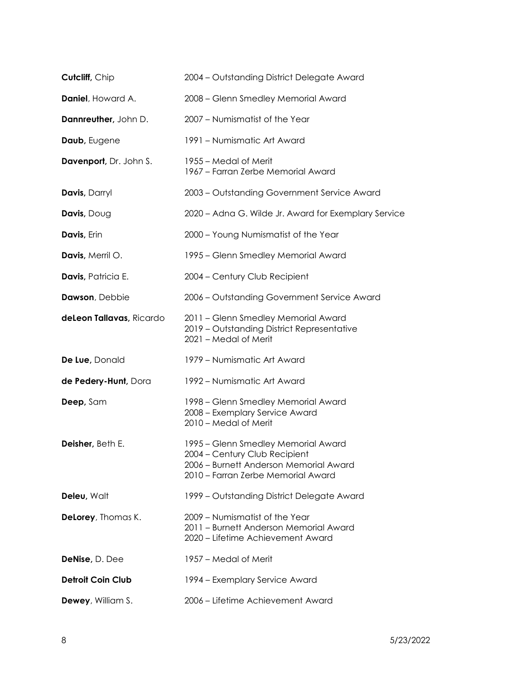| Cutcliff, Chip           | 2004 - Outstanding District Delegate Award                                                                                                           |
|--------------------------|------------------------------------------------------------------------------------------------------------------------------------------------------|
| Daniel, Howard A.        | 2008 - Glenn Smedley Memorial Award                                                                                                                  |
| Dannreuther, John D.     | 2007 - Numismatist of the Year                                                                                                                       |
| Daub, Eugene             | 1991 - Numismatic Art Award                                                                                                                          |
| Davenport, Dr. John S.   | 1955 – Medal of Merit<br>1967 - Farran Zerbe Memorial Award                                                                                          |
| Davis, Darryl            | 2003 - Outstanding Government Service Award                                                                                                          |
| Davis, Doug              | 2020 - Adna G. Wilde Jr. Award for Exemplary Service                                                                                                 |
| Davis, Erin              | 2000 - Young Numismatist of the Year                                                                                                                 |
| Davis, Merril O.         | 1995 – Glenn Smedley Memorial Award                                                                                                                  |
| Davis, Patricia E.       | 2004 - Century Club Recipient                                                                                                                        |
| Dawson, Debbie           | 2006 - Outstanding Government Service Award                                                                                                          |
| deLeon Tallavas, Ricardo | 2011 - Glenn Smedley Memorial Award<br>2019 - Outstanding District Representative<br>2021 - Medal of Merit                                           |
| De Lue, Donald           | 1979 - Numismatic Art Award                                                                                                                          |
| de Pedery-Hunt, Dora     | 1992 – Numismatic Art Award                                                                                                                          |
| Deep, Sam                | 1998 – Glenn Smedley Memorial Award<br>2008 - Exemplary Service Award<br>2010 - Medal of Merit                                                       |
| Deisher, Beth E.         | 1995 - Glenn Smedley Memorial Award<br>2004 - Century Club Recipient<br>2006 – Burnett Anderson Memorial Award<br>2010 – Farran Zerbe Memorial Award |
| Deleu, Walt              | 1999 - Outstanding District Delegate Award                                                                                                           |
| Delorey, Thomas K.       | 2009 - Numismatist of the Year<br>2011 - Burnett Anderson Memorial Award<br>2020 - Lifetime Achievement Award                                        |
| DeNise, D. Dee           | 1957 – Medal of Merit                                                                                                                                |
| <b>Detroit Coin Club</b> | 1994 – Exemplary Service Award                                                                                                                       |
| <b>Dewey, William S.</b> | 2006 - Lifetime Achievement Award                                                                                                                    |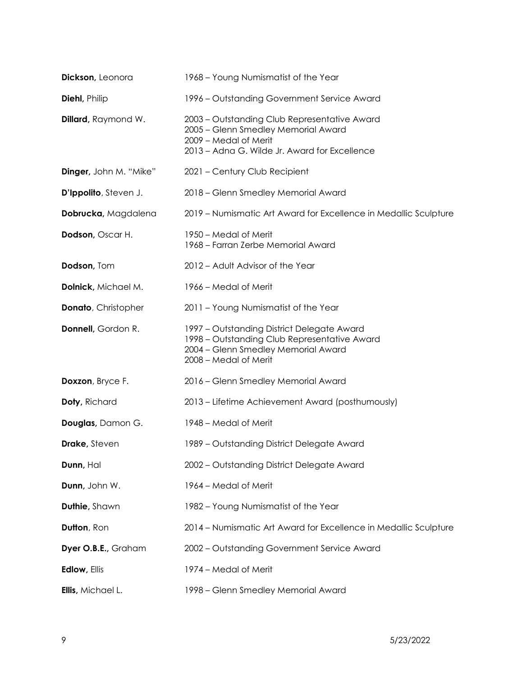| Dickson, Leonora            | 1968 – Young Numismatist of the Year                                                                                                                          |
|-----------------------------|---------------------------------------------------------------------------------------------------------------------------------------------------------------|
| <b>Diehl</b> , Philip       | 1996 – Outstanding Government Service Award                                                                                                                   |
| <b>Dillard</b> , Raymond W. | 2003 - Outstanding Club Representative Award<br>2005 - Glenn Smedley Memorial Award<br>2009 - Medal of Merit<br>2013 - Adna G. Wilde Jr. Award for Excellence |
| Dinger, John M. "Mike"      | 2021 - Century Club Recipient                                                                                                                                 |
| D'Ippolito, Steven J.       | 2018 - Glenn Smedley Memorial Award                                                                                                                           |
| Dobrucka, Magdalena         | 2019 – Numismatic Art Award for Excellence in Medallic Sculpture                                                                                              |
| Dodson, Oscar H.            | 1950 – Medal of Merit<br>1968 – Farran Zerbe Memorial Award                                                                                                   |
| Dodson, Tom                 | 2012 - Adult Advisor of the Year                                                                                                                              |
| Dolnick, Michael M.         | 1966 – Medal of Merit                                                                                                                                         |
| <b>Donato, Christopher</b>  | 2011 - Young Numismatist of the Year                                                                                                                          |
| Donnell, Gordon R.          | 1997 - Outstanding District Delegate Award<br>1998 - Outstanding Club Representative Award<br>2004 - Glenn Smedley Memorial Award<br>2008 - Medal of Merit    |
| Doxzon, Bryce F.            | 2016 - Glenn Smedley Memorial Award                                                                                                                           |
| Doty, Richard               | 2013 – Lifetime Achievement Award (posthumously)                                                                                                              |
| Douglas, Damon G.           | 1948 – Medal of Merit                                                                                                                                         |
| <b>Drake, Steven</b>        | 1989 - Outstanding District Delegate Award                                                                                                                    |
| Dunn, Hal                   | 2002 - Outstanding District Delegate Award                                                                                                                    |
| Dunn, John W.               | 1964 – Medal of Merit                                                                                                                                         |
| Duthie, Shawn               | 1982 - Young Numismatist of the Year                                                                                                                          |
| Dutton, Ron                 | 2014 - Numismatic Art Award for Excellence in Medallic Sculpture                                                                                              |
| Dyer O.B.E., Graham         | 2002 - Outstanding Government Service Award                                                                                                                   |
| <b>Edlow, Ellis</b>         | 1974 – Medal of Merit                                                                                                                                         |
| Ellis, Michael L.           | 1998 - Glenn Smedley Memorial Award                                                                                                                           |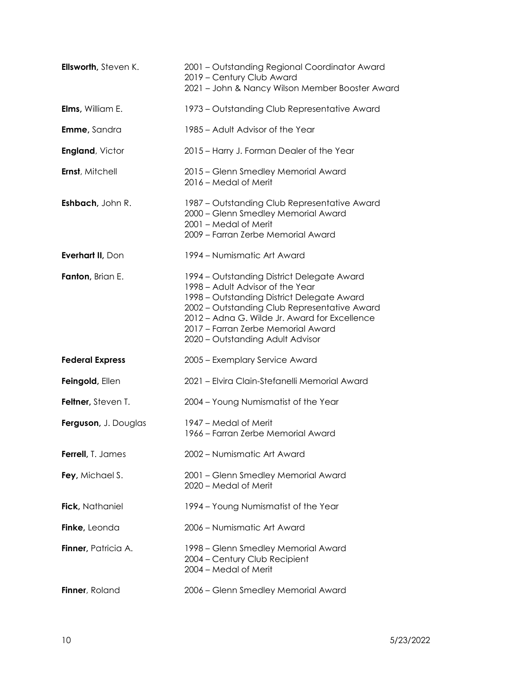| Ellsworth, Steven K.    | 2001 - Outstanding Regional Coordinator Award<br>2019 - Century Club Award<br>2021 - John & Nancy Wilson Member Booster Award                                                                                                                                                                           |
|-------------------------|---------------------------------------------------------------------------------------------------------------------------------------------------------------------------------------------------------------------------------------------------------------------------------------------------------|
| <b>Elms, William E.</b> | 1973 – Outstanding Club Representative Award                                                                                                                                                                                                                                                            |
| <b>Emme, Sandra</b>     | 1985 – Adult Advisor of the Year                                                                                                                                                                                                                                                                        |
| <b>England, Victor</b>  | 2015 - Harry J. Forman Dealer of the Year                                                                                                                                                                                                                                                               |
| Ernst, Mitchell         | 2015 - Glenn Smedley Memorial Award<br>2016 – Medal of Merit                                                                                                                                                                                                                                            |
| Eshbach, John R.        | 1987 – Outstanding Club Representative Award<br>2000 - Glenn Smedley Memorial Award<br>2001 - Medal of Merit<br>2009 - Farran Zerbe Memorial Award                                                                                                                                                      |
| Everhart II, Don        | 1994 – Numismatic Art Award                                                                                                                                                                                                                                                                             |
| Fanton, Brian E.        | 1994 – Outstanding District Delegate Award<br>1998 - Adult Advisor of the Year<br>1998 – Outstanding District Delegate Award<br>2002 - Outstanding Club Representative Award<br>2012 - Adna G. Wilde Jr. Award for Excellence<br>2017 - Farran Zerbe Memorial Award<br>2020 - Outstanding Adult Advisor |
| <b>Federal Express</b>  | 2005 - Exemplary Service Award                                                                                                                                                                                                                                                                          |
| Feingold, Ellen         | 2021 - Elvira Clain-Stefanelli Memorial Award                                                                                                                                                                                                                                                           |
| Feltner, Steven T.      | 2004 - Young Numismatist of the Year                                                                                                                                                                                                                                                                    |
| Ferguson, J. Douglas    | 1947 – Medal of Merit<br>1966 – Farran Zerbe Memorial Award                                                                                                                                                                                                                                             |
| Ferrell, T. James       | 2002 - Numismatic Art Award                                                                                                                                                                                                                                                                             |
| Fey, Michael S.         | 2001 - Glenn Smedley Memorial Award<br>2020 – Medal of Merit                                                                                                                                                                                                                                            |
| Fick, Nathaniel         | 1994 – Young Numismatist of the Year                                                                                                                                                                                                                                                                    |
| Finke, Leonda           | 2006 - Numismatic Art Award                                                                                                                                                                                                                                                                             |
| Finner, Patricia A.     | 1998 - Glenn Smedley Memorial Award<br>2004 - Century Club Recipient<br>2004 – Medal of Merit                                                                                                                                                                                                           |
| Finner, Roland          | 2006 - Glenn Smedley Memorial Award                                                                                                                                                                                                                                                                     |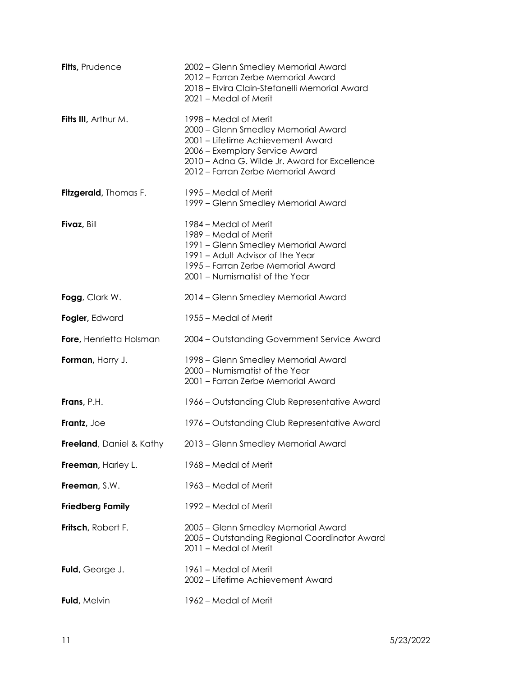| Fitts, Prudence                  | 2002 – Glenn Smedley Memorial Award<br>2012 - Farran Zerbe Memorial Award<br>2018 - Elvira Clain-Stefanelli Memorial Award<br>2021 - Medal of Merit                                                                        |
|----------------------------------|----------------------------------------------------------------------------------------------------------------------------------------------------------------------------------------------------------------------------|
| Fitts III, Arthur M.             | 1998 – Medal of Merit<br>2000 - Glenn Smedley Memorial Award<br>2001 - Lifetime Achievement Award<br>2006 - Exemplary Service Award<br>2010 - Adna G. Wilde Jr. Award for Excellence<br>2012 - Farran Zerbe Memorial Award |
| <b>Fitzgerald</b> , Thomas F.    | 1995 – Medal of Merit<br>1999 - Glenn Smedley Memorial Award                                                                                                                                                               |
| Fivaz, Bill                      | 1984 – Medal of Merit<br>1989 – Medal of Merit<br>1991 - Glenn Smedley Memorial Award<br>1991 - Adult Advisor of the Year<br>1995 - Farran Zerbe Memorial Award<br>2001 - Numismatist of the Year                          |
| Fogg, Clark W.                   | 2014 - Glenn Smedley Memorial Award                                                                                                                                                                                        |
| Fogler, Edward                   | 1955 – Medal of Merit                                                                                                                                                                                                      |
| Fore, Henrietta Holsman          | 2004 - Outstanding Government Service Award                                                                                                                                                                                |
| Forman, Harry J.                 | 1998 – Glenn Smedley Memorial Award<br>2000 - Numismatist of the Year<br>2001 - Farran Zerbe Memorial Award                                                                                                                |
| Frans, P.H.                      | 1966 – Outstanding Club Representative Award                                                                                                                                                                               |
| Frantz, Joe                      | 1976 – Outstanding Club Representative Award                                                                                                                                                                               |
| <b>Freeland</b> , Daniel & Kathy | 2013 - Glenn Smedley Memorial Award                                                                                                                                                                                        |
| Freeman, Harley L.               | 1968 – Medal of Merit                                                                                                                                                                                                      |
| Freeman, S.W.                    | 1963 – Medal of Merit                                                                                                                                                                                                      |
| <b>Friedberg Family</b>          | 1992 – Medal of Merit                                                                                                                                                                                                      |
| Fritsch, Robert F.               | 2005 - Glenn Smedley Memorial Award<br>2005 - Outstanding Regional Coordinator Award<br>2011 – Medal of Merit                                                                                                              |
| Fuld, George J.                  | 1961 – Medal of Merit<br>2002 - Lifetime Achievement Award                                                                                                                                                                 |
| Fuld, Melvin                     | 1962 – Medal of Merit                                                                                                                                                                                                      |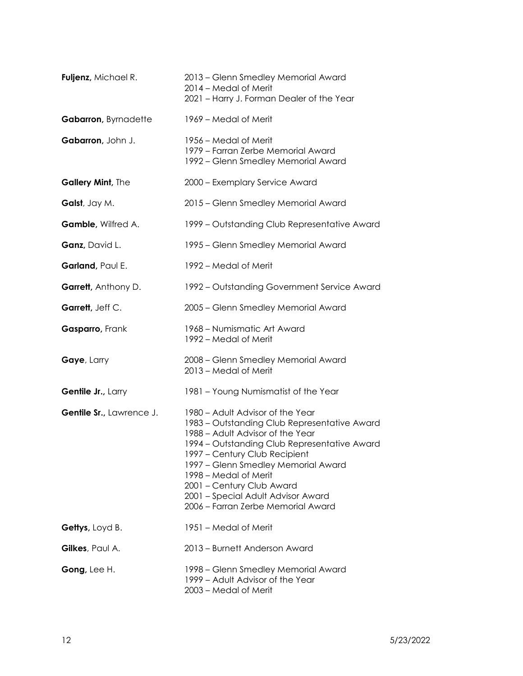| Fuljenz, Michael R.         | 2013 - Glenn Smedley Memorial Award<br>2014 - Medal of Merit<br>2021 - Harry J. Forman Dealer of the Year                                                                                                                                                                                                                                                                      |
|-----------------------------|--------------------------------------------------------------------------------------------------------------------------------------------------------------------------------------------------------------------------------------------------------------------------------------------------------------------------------------------------------------------------------|
| Gabarron, Byrnadette        | 1969 – Medal of Merit                                                                                                                                                                                                                                                                                                                                                          |
| Gabarron, John J.           | 1956 – Medal of Merit<br>1979 - Farran Zerbe Memorial Award<br>1992 - Glenn Smedley Memorial Award                                                                                                                                                                                                                                                                             |
| Gallery Mint, The           | 2000 - Exemplary Service Award                                                                                                                                                                                                                                                                                                                                                 |
| Galst, Jay M.               | 2015 - Glenn Smedley Memorial Award                                                                                                                                                                                                                                                                                                                                            |
| Gamble, Wilfred A.          | 1999 – Outstanding Club Representative Award                                                                                                                                                                                                                                                                                                                                   |
| Ganz, David L.              | 1995 - Glenn Smedley Memorial Award                                                                                                                                                                                                                                                                                                                                            |
| Garland, Paul E.            | 1992 – Medal of Merit                                                                                                                                                                                                                                                                                                                                                          |
| <b>Garrett</b> , Anthony D. | 1992 – Outstanding Government Service Award                                                                                                                                                                                                                                                                                                                                    |
| Garrett, Jeff C.            | 2005 - Glenn Smedley Memorial Award                                                                                                                                                                                                                                                                                                                                            |
| Gasparro, Frank             | 1968 - Numismatic Art Award<br>1992 – Medal of Merit                                                                                                                                                                                                                                                                                                                           |
| Gaye, Larry                 | 2008 - Glenn Smedley Memorial Award<br>2013 - Medal of Merit                                                                                                                                                                                                                                                                                                                   |
| Gentile Jr., Larry          | 1981 - Young Numismatist of the Year                                                                                                                                                                                                                                                                                                                                           |
| Gentile Sr., Lawrence J.    | 1980 - Adult Advisor of the Year<br>1983 – Outstanding Club Representative Award<br>1988 - Adult Advisor of the Year<br>1994 - Outstanding Club Representative Award<br>1997 – Century Club Recipient<br>1997 – Glenn Smedley Memorial Award<br>1998 – Medal of Merit<br>2001 - Century Club Award<br>2001 - Special Adult Advisor Award<br>2006 – Farran Zerbe Memorial Award |
| Gettys, Loyd B.             | 1951 – Medal of Merit                                                                                                                                                                                                                                                                                                                                                          |
| Gilkes, Paul A.             | 2013 – Burnett Anderson Award                                                                                                                                                                                                                                                                                                                                                  |
| Gong, Lee H.                | 1998 – Glenn Smedley Memorial Award<br>1999 - Adult Advisor of the Year<br>2003 - Medal of Merit                                                                                                                                                                                                                                                                               |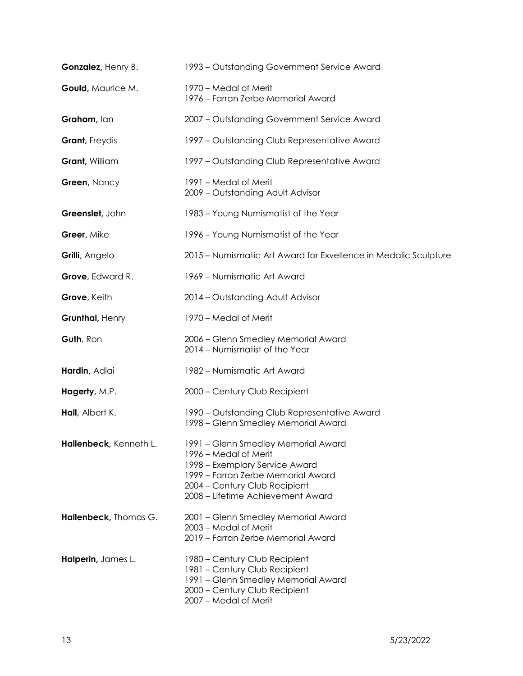| Gonzalez, Henry B.     | 1993 - Outstanding Government Service Award                                                                                                                                                                |
|------------------------|------------------------------------------------------------------------------------------------------------------------------------------------------------------------------------------------------------|
| Gould, Maurice M.      | 1970 – Medal of Merit<br>1976 - Farran Zerbe Memorial Award                                                                                                                                                |
| Graham, lan            | 2007 - Outstanding Government Service Award                                                                                                                                                                |
| <b>Grant</b> , Freydis | 1997 – Outstanding Club Representative Award                                                                                                                                                               |
| Grant, William         | 1997 – Outstanding Club Representative Award                                                                                                                                                               |
| Green, Nancy           | 1991 – Medal of Merit<br>2009 - Outstanding Adult Advisor                                                                                                                                                  |
| Greenslet, John        | 1983 - Young Numismatist of the Year                                                                                                                                                                       |
| Greer, Mike            | 1996 - Young Numismatist of the Year                                                                                                                                                                       |
| Grilli, Angelo         | 2015 – Numismatic Art Award for Exvellence in Medalic Sculpture                                                                                                                                            |
| Grove, Edward R.       | 1969 - Numismatic Art Award                                                                                                                                                                                |
| Grove, Keith           | 2014 - Outstanding Adult Advisor                                                                                                                                                                           |
| Grunthal, Henry        | 1970 – Medal of Merit                                                                                                                                                                                      |
| Guth, Ron              | 2006 - Glenn Smedley Memorial Award<br>2014 - Numismatist of the Year                                                                                                                                      |
| Hardin, Adlai          | 1982 - Numismatic Art Award                                                                                                                                                                                |
| Hagerty, M.P.          | 2000 - Century Club Recipient                                                                                                                                                                              |
| Hall, Albert K.        | 1990 – Outstanding Club Representative Award<br>1998 - Glenn Smedley Memorial Award                                                                                                                        |
| Hallenbeck, Kenneth L. | 1991 - Glenn Smedley Memorial Award<br>1996 – Medal of Merit<br>1998 - Exemplary Service Award<br>1999 - Farran Zerbe Memorial Award<br>2004 - Century Club Recipient<br>2008 - Lifetime Achievement Award |
| Hallenbeck, Thomas G.  | 2001 - Glenn Smedley Memorial Award<br>2003 – Medal of Merit<br>2019 - Farran Zerbe Memorial Award                                                                                                         |
| Halperin, James L.     | 1980 - Century Club Recipient<br>1981 - Century Club Recipient<br>1991 - Glenn Smedley Memorial Award<br>2000 - Century Club Recipient<br>2007 - Medal of Merit                                            |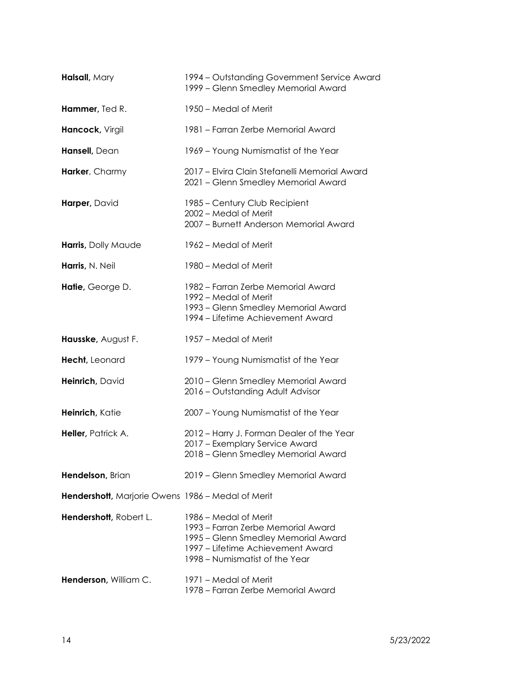| Halsall, Mary                                     | 1994 – Outstanding Government Service Award<br>1999 - Glenn Smedley Memorial Award                                                                                        |
|---------------------------------------------------|---------------------------------------------------------------------------------------------------------------------------------------------------------------------------|
| Hammer, Ted R.                                    | 1950 – Medal of Merit                                                                                                                                                     |
| Hancock, Virgil                                   | 1981 – Farran Zerbe Memorial Award                                                                                                                                        |
| Hansell, Dean                                     | 1969 - Young Numismatist of the Year                                                                                                                                      |
| Harker, Charmy                                    | 2017 - Elvira Clain Stefanelli Memorial Award<br>2021 - Glenn Smedley Memorial Award                                                                                      |
| Harper, David                                     | 1985 – Century Club Recipient<br>2002 - Medal of Merit<br>2007 - Burnett Anderson Memorial Award                                                                          |
| Harris, Dolly Maude                               | 1962 – Medal of Merit                                                                                                                                                     |
| Harris, N. Neil                                   | 1980 – Medal of Merit                                                                                                                                                     |
| Hatie, George D.                                  | 1982 – Farran Zerbe Memorial Award<br>1992 – Medal of Merit<br>1993 – Glenn Smedley Memorial Award<br>1994 – Lifetime Achievement Award                                   |
| Hausske, August F.                                | 1957 - Medal of Merit                                                                                                                                                     |
| Hecht, Leonard                                    | 1979 - Young Numismatist of the Year                                                                                                                                      |
| Heinrich, David                                   | 2010 - Glenn Smedley Memorial Award<br>2016 - Outstanding Adult Advisor                                                                                                   |
| Heinrich, Katie                                   | 2007 - Young Numismatist of the Year                                                                                                                                      |
| Heller, Patrick A.                                | 2012 - Harry J. Forman Dealer of the Year<br>2017 - Exemplary Service Award<br>2018 - Glenn Smedley Memorial Award                                                        |
| Hendelson, Brian                                  | 2019 - Glenn Smedley Memorial Award                                                                                                                                       |
| Hendershott, Marjorie Owens 1986 - Medal of Merit |                                                                                                                                                                           |
| Hendershott, Robert L.                            | 1986 – Medal of Merit<br>1993 – Farran Zerbe Memorial Award<br>1995 – Glenn Smedley Memorial Award<br>1997 – Lifetime Achievement Award<br>1998 – Numismatist of the Year |
| Henderson, William C.                             | 1971 – Medal of Merit<br>1978 – Farran Zerbe Memorial Award                                                                                                               |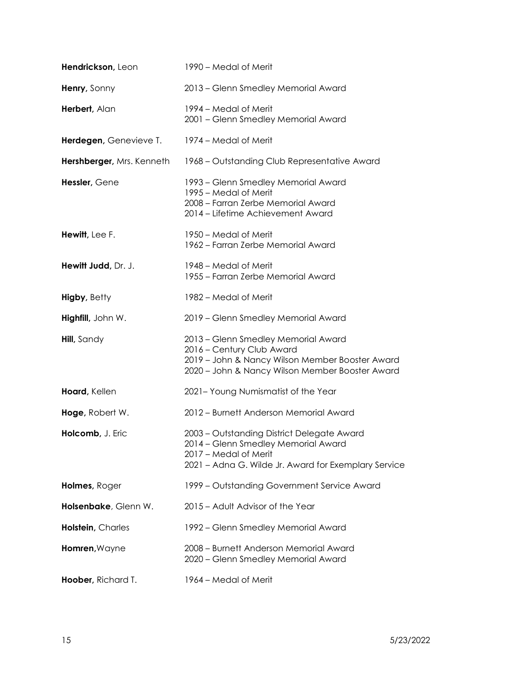| Hendrickson, Leon         | 1990 – Medal of Merit                                                                                                                                                  |
|---------------------------|------------------------------------------------------------------------------------------------------------------------------------------------------------------------|
| Henry, Sonny              | 2013 - Glenn Smedley Memorial Award                                                                                                                                    |
| Herbert, Alan             | 1994 – Medal of Merit<br>2001 - Glenn Smedley Memorial Award                                                                                                           |
| Herdegen, Genevieve T.    | 1974 – Medal of Merit                                                                                                                                                  |
| Hershberger, Mrs. Kenneth | 1968 – Outstanding Club Representative Award                                                                                                                           |
| Hessler, Gene             | 1993 – Glenn Smedley Memorial Award<br>1995 – Medal of Merit<br>2008 - Farran Zerbe Memorial Award<br>2014 - Lifetime Achievement Award                                |
| Hewitt, Lee F.            | 1950 – Medal of Merit<br>1962 – Farran Zerbe Memorial Award                                                                                                            |
| Hewitt Judd, Dr. J.       | 1948 – Medal of Merit<br>1955 - Farran Zerbe Memorial Award                                                                                                            |
| <b>Higby, Betty</b>       | 1982 – Medal of Merit                                                                                                                                                  |
| Highfill, John W.         | 2019 - Glenn Smedley Memorial Award                                                                                                                                    |
| <b>Hill</b> , Sandy       | 2013 - Glenn Smedley Memorial Award<br>2016 - Century Club Award<br>2019 - John & Nancy Wilson Member Booster Award<br>2020 - John & Nancy Wilson Member Booster Award |
| Hoard, Kellen             | 2021- Young Numismatist of the Year                                                                                                                                    |
| Hoge, Robert W.           | 2012 - Burnett Anderson Memorial Award                                                                                                                                 |
| Holcomb, J. Eric          | 2003 - Outstanding District Delegate Award<br>2014 - Glenn Smedley Memorial Award<br>2017 – Medal of Merit<br>2021 - Adna G. Wilde Jr. Award for Exemplary Service     |
| Holmes, Roger             | 1999 – Outstanding Government Service Award                                                                                                                            |
| Holsenbake, Glenn W.      | 2015 - Adult Advisor of the Year                                                                                                                                       |
| Holstein, Charles         | 1992 – Glenn Smedley Memorial Award                                                                                                                                    |
| Homren, Wayne             | 2008 – Burnett Anderson Memorial Award<br>2020 - Glenn Smedley Memorial Award                                                                                          |
| Hoober, Richard T.        | 1964 – Medal of Merit                                                                                                                                                  |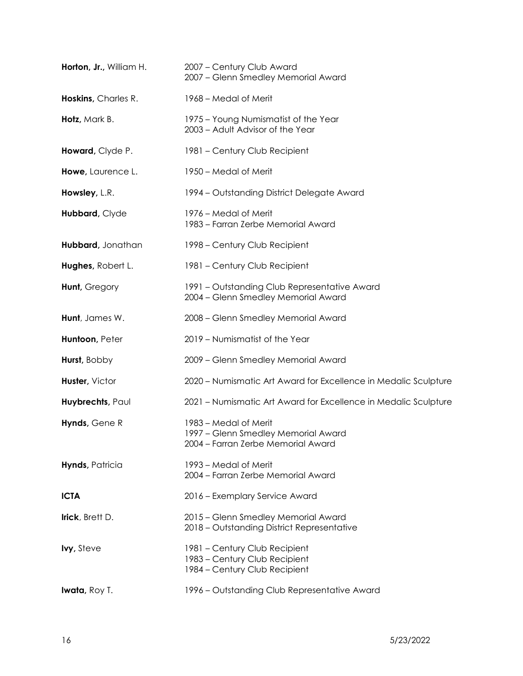| Horton, Jr., William H. | 2007 - Century Club Award<br>2007 - Glenn Smedley Memorial Award                                   |
|-------------------------|----------------------------------------------------------------------------------------------------|
| Hoskins, Charles R.     | 1968 – Medal of Merit                                                                              |
| Hotz, Mark B.           | 1975 - Young Numismatist of the Year<br>2003 - Adult Advisor of the Year                           |
| Howard, Clyde P.        | 1981 - Century Club Recipient                                                                      |
| Howe, Laurence L.       | 1950 – Medal of Merit                                                                              |
| Howsley, L.R.           | 1994 – Outstanding District Delegate Award                                                         |
| Hubbard, Clyde          | 1976 – Medal of Merit<br>1983 – Farran Zerbe Memorial Award                                        |
| Hubbard, Jonathan       | 1998 – Century Club Recipient                                                                      |
| Hughes, Robert L.       | 1981 - Century Club Recipient                                                                      |
| Hunt, Gregory           | 1991 - Outstanding Club Representative Award<br>2004 - Glenn Smedley Memorial Award                |
| Hunt, James W.          | 2008 - Glenn Smedley Memorial Award                                                                |
| Huntoon, Peter          | 2019 - Numismatist of the Year                                                                     |
| Hurst, Bobby            | 2009 - Glenn Smedley Memorial Award                                                                |
| Huster, Victor          | 2020 – Numismatic Art Award for Excellence in Medalic Sculpture                                    |
| Huybrechts, Paul        | 2021 - Numismatic Art Award for Excellence in Medalic Sculpture                                    |
| Hynds, Gene R           | 1983 – Medal of Merit<br>1997 - Glenn Smedley Memorial Award<br>2004 - Farran Zerbe Memorial Award |
| Hynds, Patricia         | 1993 – Medal of Merit<br>2004 - Farran Zerbe Memorial Award                                        |
| <b>ICTA</b>             | 2016 - Exemplary Service Award                                                                     |
| Irick, Brett D.         | 2015 - Glenn Smedley Memorial Award<br>2018 - Outstanding District Representative                  |
| <b>lvy</b> , Steve      | 1981 - Century Club Recipient<br>1983 - Century Club Recipient<br>1984 – Century Club Recipient    |
| <b>Iwata</b> , Roy T.   | 1996 - Outstanding Club Representative Award                                                       |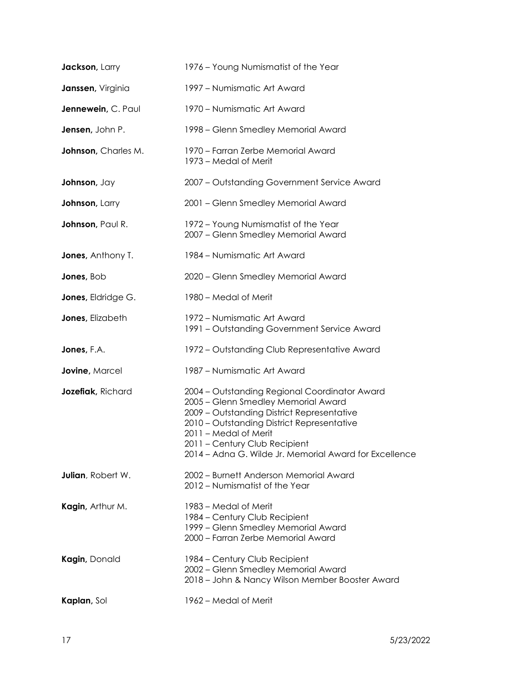| Jackson, Larry            | 1976 – Young Numismatist of the Year                                                                                                                                                                                                                                                                 |
|---------------------------|------------------------------------------------------------------------------------------------------------------------------------------------------------------------------------------------------------------------------------------------------------------------------------------------------|
| Janssen, Virginia         | 1997 - Numismatic Art Award                                                                                                                                                                                                                                                                          |
| Jennewein, C. Paul        | 1970 - Numismatic Art Award                                                                                                                                                                                                                                                                          |
| Jensen, John P.           | 1998 – Glenn Smedley Memorial Award                                                                                                                                                                                                                                                                  |
| Johnson, Charles M.       | 1970 – Farran Zerbe Memorial Award<br>1973 – Medal of Merit                                                                                                                                                                                                                                          |
| Johnson, Jay              | 2007 - Outstanding Government Service Award                                                                                                                                                                                                                                                          |
| Johnson, Larry            | 2001 - Glenn Smedley Memorial Award                                                                                                                                                                                                                                                                  |
| Johnson, Paul R.          | 1972 - Young Numismatist of the Year<br>2007 - Glenn Smedley Memorial Award                                                                                                                                                                                                                          |
| <b>Jones, Anthony T.</b>  | 1984 - Numismatic Art Award                                                                                                                                                                                                                                                                          |
| Jones, Bob                | 2020 - Glenn Smedley Memorial Award                                                                                                                                                                                                                                                                  |
| Jones, Eldridge G.        | 1980 - Medal of Merit                                                                                                                                                                                                                                                                                |
| Jones, Elizabeth          | 1972 – Numismatic Art Award<br>1991 – Outstanding Government Service Award                                                                                                                                                                                                                           |
| Jones, F.A.               | 1972 – Outstanding Club Representative Award                                                                                                                                                                                                                                                         |
| Jovine, Marcel            | 1987 - Numismatic Art Award                                                                                                                                                                                                                                                                          |
| Jozefiak, Richard         | 2004 - Outstanding Regional Coordinator Award<br>2005 - Glenn Smedley Memorial Award<br>2009 - Outstanding District Representative<br>2010 - Outstanding District Representative<br>2011 - Medal of Merit<br>2011 - Century Club Recipient<br>2014 – Adna G. Wilde Jr. Memorial Award for Excellence |
| <b>Julian</b> , Robert W. | 2002 – Burnett Anderson Memorial Award<br>2012 – Numismatist of the Year                                                                                                                                                                                                                             |
| Kagin, Arthur M.          | 1983 – Medal of Merit<br>1984 – Century Club Recipient<br>1999 - Glenn Smedley Memorial Award<br>2000 - Farran Zerbe Memorial Award                                                                                                                                                                  |
| Kagin, Donald             | 1984 – Century Club Recipient<br>2002 - Glenn Smedley Memorial Award<br>2018 - John & Nancy Wilson Member Booster Award                                                                                                                                                                              |
|                           |                                                                                                                                                                                                                                                                                                      |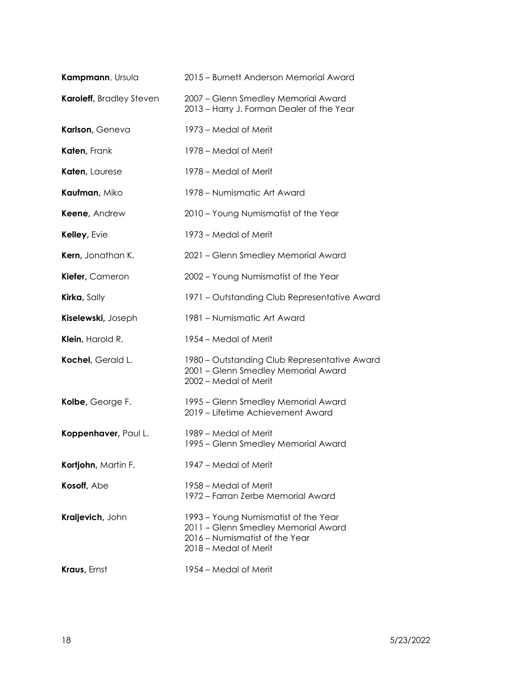| Kampmann, Ursula         | 2015 - Burnett Anderson Memorial Award                                                                                                 |
|--------------------------|----------------------------------------------------------------------------------------------------------------------------------------|
| Karoleff, Bradley Steven | 2007 - Glenn Smedley Memorial Award<br>2013 - Harry J. Forman Dealer of the Year                                                       |
| Karlson, Geneva          | 1973 – Medal of Merit                                                                                                                  |
| Katen, Frank             | 1978 – Medal of Merit                                                                                                                  |
| Katen, Laurese           | 1978 – Medal of Merit                                                                                                                  |
| Kaufman, Miko            | 1978 – Numismatic Art Award                                                                                                            |
| Keene, Andrew            | 2010 – Young Numismatist of the Year                                                                                                   |
| Kelley, Evie             | 1973 – Medal of Merit                                                                                                                  |
| Kern, Jonathan K.        | 2021 - Glenn Smedley Memorial Award                                                                                                    |
| Kiefer, Cameron          | 2002 - Young Numismatist of the Year                                                                                                   |
| Kirka, Sally             | 1971 – Outstanding Club Representative Award                                                                                           |
| Kiselewski, Joseph       | 1981 - Numismatic Art Award                                                                                                            |
| Klein, Harold R.         | 1954 – Medal of Merit                                                                                                                  |
| Kochel, Gerald L.        | 1980 – Outstanding Club Representative Award<br>2001 - Glenn Smedley Memorial Award<br>2002 - Medal of Merit                           |
| Kolbe, George F.         | 1995 – Glenn Smedley Memorial Award<br>2019 - Lifetime Achievement Award                                                               |
| Koppenhaver, Paul L.     | 1989 – Medal of Merit<br>1995 - Glenn Smedley Memorial Award                                                                           |
| Kortjohn, Martin F.      | 1947 – Medal of Merit                                                                                                                  |
| Kosoff, Abe              | 1958 – Medal of Merit<br>1972 – Farran Zerbe Memorial Award                                                                            |
| Kraljevich, John         | 1993 – Young Numismatist of the Year<br>2011 - Glenn Smedley Memorial Award<br>2016 - Numismatist of the Year<br>2018 – Medal of Merit |
| <b>Kraus</b> , Ernst     | 1954 – Medal of Merit                                                                                                                  |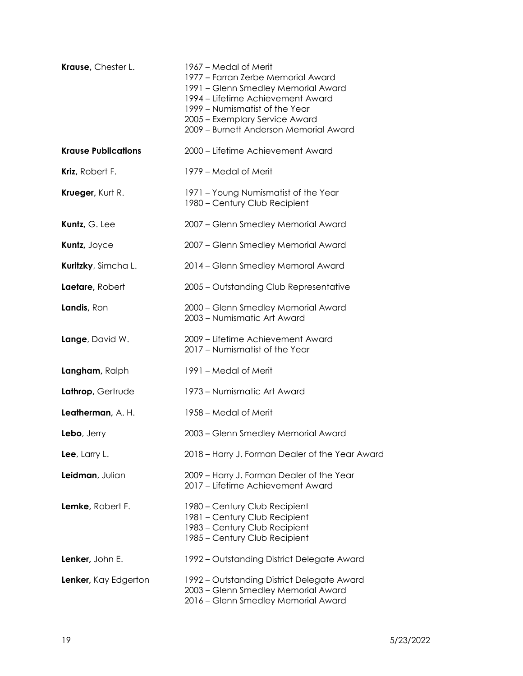| Krause, Chester L.         | 1967 – Medal of Merit<br>1977 – Farran Zerbe Memorial Award<br>1991 - Glenn Smedley Memorial Award<br>1994 – Lifetime Achievement Award<br>1999 - Numismatist of the Year<br>2005 - Exemplary Service Award<br>2009 - Burnett Anderson Memorial Award |
|----------------------------|-------------------------------------------------------------------------------------------------------------------------------------------------------------------------------------------------------------------------------------------------------|
| <b>Krause Publications</b> | 2000 – Lifetime Achievement Award                                                                                                                                                                                                                     |
| Kriz, Robert F.            | 1979 – Medal of Merit                                                                                                                                                                                                                                 |
| Krueger, Kurt R.           | 1971 - Young Numismatist of the Year<br>1980 - Century Club Recipient                                                                                                                                                                                 |
| Kuntz, G. Lee              | 2007 - Glenn Smedley Memorial Award                                                                                                                                                                                                                   |
| Kuntz, Joyce               | 2007 - Glenn Smedley Memorial Award                                                                                                                                                                                                                   |
| Kuritzky, Simcha L.        | 2014 - Glenn Smedley Memoral Award                                                                                                                                                                                                                    |
| Laetare, Robert            | 2005 - Outstanding Club Representative                                                                                                                                                                                                                |
| Landis, Ron                | 2000 - Glenn Smedley Memorial Award<br>2003 - Numismatic Art Award                                                                                                                                                                                    |
| Lange, David W.            | 2009 - Lifetime Achievement Award<br>2017 - Numismatist of the Year                                                                                                                                                                                   |
| Langham, Ralph             | 1991 – Medal of Merit                                                                                                                                                                                                                                 |
| Lathrop, Gertrude          | 1973 - Numismatic Art Award                                                                                                                                                                                                                           |
| Leatherman, A. H.          | 1958 – Medal of Merit                                                                                                                                                                                                                                 |
| Lebo, Jerry                | 2003 - Glenn Smedley Memorial Award                                                                                                                                                                                                                   |
| Lee, Larry L.              | 2018 – Harry J. Forman Dealer of the Year Award                                                                                                                                                                                                       |
| Leidman, Julian            | 2009 - Harry J. Forman Dealer of the Year<br>2017 – Lifetime Achievement Award                                                                                                                                                                        |
| Lemke, Robert F.           | 1980 - Century Club Recipient<br>1981 - Century Club Recipient<br>1983 - Century Club Recipient<br>1985 - Century Club Recipient                                                                                                                      |
| Lenker, John E.            | 1992 – Outstanding District Delegate Award                                                                                                                                                                                                            |
| Lenker, Kay Edgerton       | 1992 – Outstanding District Delegate Award<br>2003 - Glenn Smedley Memorial Award<br>2016 - Glenn Smedley Memorial Award                                                                                                                              |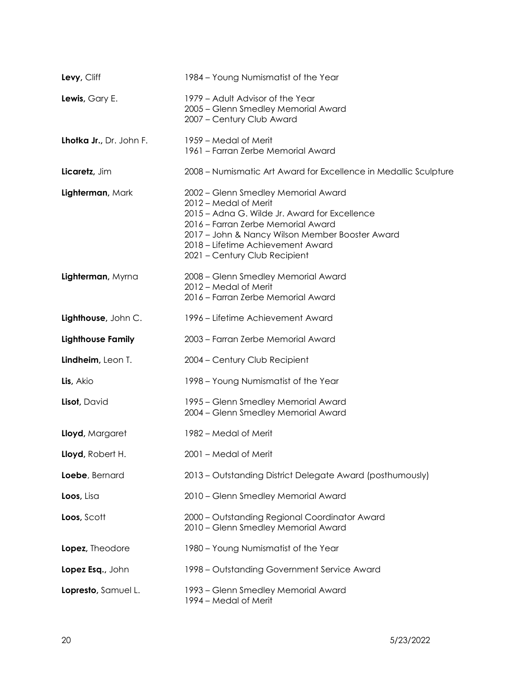| Levy, Cliff              | 1984 - Young Numismatist of the Year                                                                                                                                                                                                                                         |
|--------------------------|------------------------------------------------------------------------------------------------------------------------------------------------------------------------------------------------------------------------------------------------------------------------------|
| Lewis, Gary E.           | 1979 - Adult Advisor of the Year<br>2005 - Glenn Smedley Memorial Award<br>2007 - Century Club Award                                                                                                                                                                         |
| Lhotka Jr., Dr. John F.  | 1959 – Medal of Merit<br>1961 - Farran Zerbe Memorial Award                                                                                                                                                                                                                  |
| Licaretz, Jim            | 2008 – Numismatic Art Award for Excellence in Medallic Sculpture                                                                                                                                                                                                             |
| Lighterman, Mark         | 2002 - Glenn Smedley Memorial Award<br>2012 – Medal of Merit<br>2015 - Adna G. Wilde Jr. Award for Excellence<br>2016 - Farran Zerbe Memorial Award<br>2017 - John & Nancy Wilson Member Booster Award<br>2018 - Lifetime Achievement Award<br>2021 - Century Club Recipient |
| Lighterman, Myrna        | 2008 - Glenn Smedley Memorial Award<br>2012 – Medal of Merit<br>2016 - Farran Zerbe Memorial Award                                                                                                                                                                           |
| Lighthouse, John C.      | 1996 – Lifetime Achievement Award                                                                                                                                                                                                                                            |
| <b>Lighthouse Family</b> | 2003 - Farran Zerbe Memorial Award                                                                                                                                                                                                                                           |
| Lindheim, Leon T.        | 2004 - Century Club Recipient                                                                                                                                                                                                                                                |
| Lis, Akio                | 1998 – Young Numismatist of the Year                                                                                                                                                                                                                                         |
| Lisot, David             | 1995 - Glenn Smedley Memorial Award<br>2004 - Glenn Smedley Memorial Award                                                                                                                                                                                                   |
| Lloyd, Margaret          | 1982 – Medal of Merit                                                                                                                                                                                                                                                        |
| Lloyd, Robert H.         | 2001 - Medal of Merit                                                                                                                                                                                                                                                        |
| Loebe, Bernard           | 2013 - Outstanding District Delegate Award (posthumously)                                                                                                                                                                                                                    |
| Loos, Lisa               | 2010 - Glenn Smedley Memorial Award                                                                                                                                                                                                                                          |
| Loos, Scott              | 2000 - Outstanding Regional Coordinator Award<br>2010 - Glenn Smedley Memorial Award                                                                                                                                                                                         |
| Lopez, Theodore          | 1980 - Young Numismatist of the Year                                                                                                                                                                                                                                         |
| Lopez Esq., John         | 1998 – Outstanding Government Service Award                                                                                                                                                                                                                                  |
| Lopresto, Samuel L.      | 1993 – Glenn Smedley Memorial Award<br>1994 - Medal of Merit                                                                                                                                                                                                                 |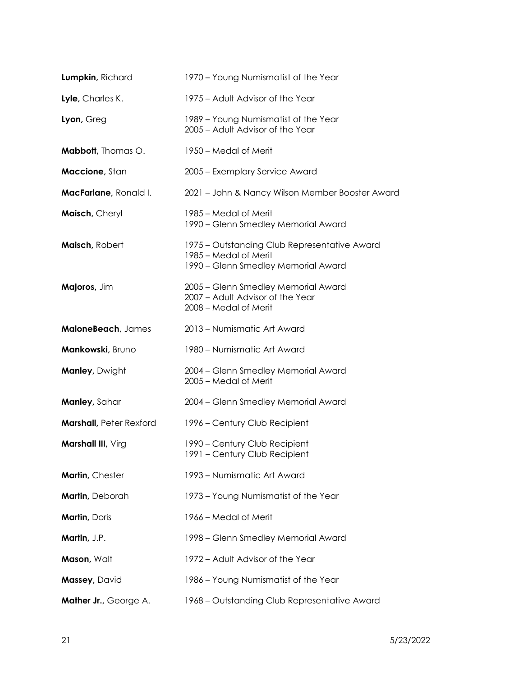| Lumpkin, Richard               | 1970 - Young Numismatist of the Year                                                                         |
|--------------------------------|--------------------------------------------------------------------------------------------------------------|
| Lyle, Charles K.               | 1975 - Adult Advisor of the Year                                                                             |
| Lyon, Greg                     | 1989 - Young Numismatist of the Year<br>2005 - Adult Advisor of the Year                                     |
| <b>Mabbott</b> , Thomas O.     | 1950 – Medal of Merit                                                                                        |
| Maccione, Stan                 | 2005 - Exemplary Service Award                                                                               |
| MacFarlane, Ronald I.          | 2021 - John & Nancy Wilson Member Booster Award                                                              |
| Maisch, Cheryl                 | 1985 – Medal of Merit<br>1990 – Glenn Smedley Memorial Award                                                 |
| Maisch, Robert                 | 1975 – Outstanding Club Representative Award<br>1985 – Medal of Merit<br>1990 - Glenn Smedley Memorial Award |
| Majoros, Jim                   | 2005 - Glenn Smedley Memorial Award<br>2007 - Adult Advisor of the Year<br>2008 - Medal of Merit             |
| MaloneBeach, James             | 2013 - Numismatic Art Award                                                                                  |
| Mankowski, Bruno               | 1980 - Numismatic Art Award                                                                                  |
| Manley, Dwight                 | 2004 - Glenn Smedley Memorial Award<br>2005 - Medal of Merit                                                 |
| Manley, Sahar                  | 2004 - Glenn Smedley Memorial Award                                                                          |
| <b>Marshall, Peter Rexford</b> | 1996 – Century Club Recipient                                                                                |
| Marshall III, Virg             | 1990 - Century Club Recipient<br>1991 - Century Club Recipient                                               |
| Martin, Chester                | 1993 - Numismatic Art Award                                                                                  |
| Martin, Deborah                | 1973 - Young Numismatist of the Year                                                                         |
| <b>Martin, Doris</b>           | 1966 – Medal of Merit                                                                                        |
| Martin, J.P.                   | 1998 – Glenn Smedley Memorial Award                                                                          |
| Mason, Walt                    | 1972 - Adult Advisor of the Year                                                                             |
| Massey, David                  | 1986 - Young Numismatist of the Year                                                                         |
| Mather Jr., George A.          | 1968 - Outstanding Club Representative Award                                                                 |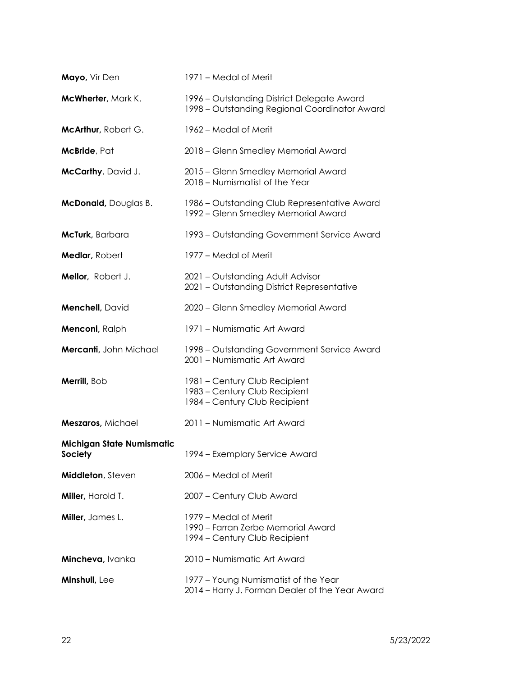| Mayo, Vir Den                               | 1971 – Medal of Merit                                                                           |
|---------------------------------------------|-------------------------------------------------------------------------------------------------|
| McWherter, Mark K.                          | 1996 – Outstanding District Delegate Award<br>1998 - Outstanding Regional Coordinator Award     |
| McArthur, Robert G.                         | 1962 – Medal of Merit                                                                           |
| McBride, Pat                                | 2018 - Glenn Smedley Memorial Award                                                             |
| McCarthy, David J.                          | 2015 - Glenn Smedley Memorial Award<br>2018 – Numismatist of the Year                           |
| <b>McDonald</b> , Douglas B.                | 1986 – Outstanding Club Representative Award<br>1992 – Glenn Smedley Memorial Award             |
| McTurk, Barbara                             | 1993 – Outstanding Government Service Award                                                     |
| Medlar, Robert                              | 1977 – Medal of Merit                                                                           |
| Mellor, Robert J.                           | 2021 - Outstanding Adult Advisor<br>2021 - Outstanding District Representative                  |
| Menchell, David                             | 2020 - Glenn Smedley Memorial Award                                                             |
| Menconi, Ralph                              | 1971 - Numismatic Art Award                                                                     |
| Mercanti, John Michael                      | 1998 – Outstanding Government Service Award<br>2001 - Numismatic Art Award                      |
| Merrill, Bob                                | 1981 - Century Club Recipient<br>1983 - Century Club Recipient<br>1984 - Century Club Recipient |
| Meszaros, Michael                           | 2011 - Numismatic Art Award                                                                     |
| <b>Michigan State Numismatic</b><br>Society | 1994 - Exemplary Service Award                                                                  |
| Middleton, Steven                           | 2006 - Medal of Merit                                                                           |
| Miller, Harold T.                           | 2007 - Century Club Award                                                                       |
| Miller, James L.                            | 1979 – Medal of Merit<br>1990 – Farran Zerbe Memorial Award<br>1994 – Century Club Recipient    |
| Mincheva, Ivanka                            | 2010 - Numismatic Art Award                                                                     |
| Minshull, Lee                               | 1977 - Young Numismatist of the Year<br>2014 - Harry J. Forman Dealer of the Year Award         |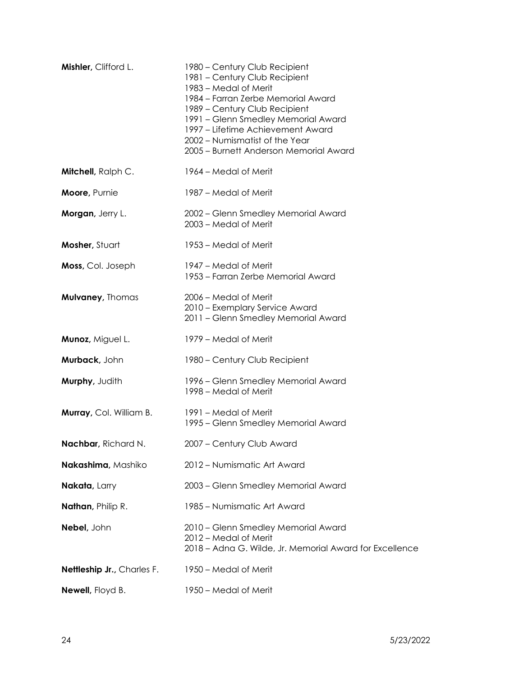| Mishler, Clifford L.       | 1980 – Century Club Recipient<br>1981 - Century Club Recipient<br>1983 – Medal of Merit<br>1984 - Farran Zerbe Memorial Award<br>1989 - Century Club Recipient<br>1991 - Glenn Smedley Memorial Award<br>1997 – Lifetime Achievement Award<br>2002 - Numismatist of the Year<br>2005 - Burnett Anderson Memorial Award |
|----------------------------|------------------------------------------------------------------------------------------------------------------------------------------------------------------------------------------------------------------------------------------------------------------------------------------------------------------------|
| <b>Mitchell</b> , Ralph C. | 1964 – Medal of Merit                                                                                                                                                                                                                                                                                                  |
| Moore, Purnie              | 1987 – Medal of Merit                                                                                                                                                                                                                                                                                                  |
| Morgan, Jerry L.           | 2002 - Glenn Smedley Memorial Award<br>2003 - Medal of Merit                                                                                                                                                                                                                                                           |
| Mosher, Stuart             | 1953 – Medal of Merit                                                                                                                                                                                                                                                                                                  |
| Moss, Col. Joseph          | 1947 – Medal of Merit<br>1953 – Farran Zerbe Memorial Award                                                                                                                                                                                                                                                            |
| Mulvaney, Thomas           | 2006 – Medal of Merit<br>2010 - Exemplary Service Award<br>2011 - Glenn Smedley Memorial Award                                                                                                                                                                                                                         |
| Munoz, Miguel L.           | 1979 – Medal of Merit                                                                                                                                                                                                                                                                                                  |
| Murback, John              | 1980 - Century Club Recipient                                                                                                                                                                                                                                                                                          |
| Murphy, Judith             | 1996 – Glenn Smedley Memorial Award<br>1998 – Medal of Merit                                                                                                                                                                                                                                                           |
| Murray, Col. William B.    | 1991 – Medal of Merit<br>1995 - Glenn Smedley Memorial Award                                                                                                                                                                                                                                                           |
| Nachbar, Richard N.        | 2007 - Century Club Award                                                                                                                                                                                                                                                                                              |
| Nakashima, Mashiko         | 2012 - Numismatic Art Award                                                                                                                                                                                                                                                                                            |
| Nakata, Larry              | 2003 - Glenn Smedley Memorial Award                                                                                                                                                                                                                                                                                    |
| Nathan, Philip R.          | 1985 - Numismatic Art Award                                                                                                                                                                                                                                                                                            |
| Nebel, John                | 2010 - Glenn Smedley Memorial Award<br>2012 – Medal of Merit<br>2018 - Adna G. Wilde, Jr. Memorial Award for Excellence                                                                                                                                                                                                |
| Nettleship Jr., Charles F. | 1950 – Medal of Merit                                                                                                                                                                                                                                                                                                  |
| Newell, Floyd B.           | 1950 - Medal of Merit                                                                                                                                                                                                                                                                                                  |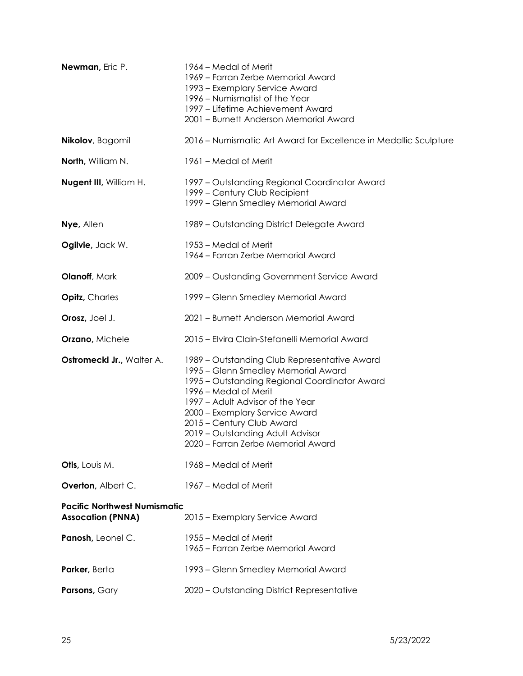| Newman, Eric P.                                                 | 1964 – Medal of Merit<br>1969 - Farran Zerbe Memorial Award<br>1993 – Exemplary Service Award<br>1996 – Numismatist of the Year<br>1997 – Lifetime Achievement Award<br>2001 - Burnett Anderson Memorial Award                                                                                                                             |
|-----------------------------------------------------------------|--------------------------------------------------------------------------------------------------------------------------------------------------------------------------------------------------------------------------------------------------------------------------------------------------------------------------------------------|
| Nikolov, Bogomil                                                | 2016 – Numismatic Art Award for Excellence in Medallic Sculpture                                                                                                                                                                                                                                                                           |
| North, William N.                                               | 1961 – Medal of Merit                                                                                                                                                                                                                                                                                                                      |
| Nugent III, William H.                                          | 1997 - Outstanding Regional Coordinator Award<br>1999 – Century Club Recipient<br>1999 - Glenn Smedley Memorial Award                                                                                                                                                                                                                      |
| Nye, Allen                                                      | 1989 - Outstanding District Delegate Award                                                                                                                                                                                                                                                                                                 |
| Ogilvie, Jack W.                                                | 1953 – Medal of Merit<br>1964 – Farran Zerbe Memorial Award                                                                                                                                                                                                                                                                                |
| Olanoff, Mark                                                   | 2009 - Oustanding Government Service Award                                                                                                                                                                                                                                                                                                 |
| <b>Opitz</b> , Charles                                          | 1999 - Glenn Smedley Memorial Award                                                                                                                                                                                                                                                                                                        |
| Orosz, Joel J.                                                  | 2021 - Burnett Anderson Memorial Award                                                                                                                                                                                                                                                                                                     |
| Orzano, Michele                                                 | 2015 - Elvira Clain-Stefanelli Memorial Award                                                                                                                                                                                                                                                                                              |
| Ostromecki Jr., Walter A.                                       | 1989 – Outstanding Club Representative Award<br>1995 - Glenn Smedley Memorial Award<br>1995 - Outstanding Regional Coordinator Award<br>1996 – Medal of Merit<br>1997 - Adult Advisor of the Year<br>2000 - Exemplary Service Award<br>2015 - Century Club Award<br>2019 - Outstanding Adult Advisor<br>2020 - Farran Zerbe Memorial Award |
| Otis, Louis M.                                                  | 1968 – Medal of Merit                                                                                                                                                                                                                                                                                                                      |
| Overton, Albert C.                                              | 1967 – Medal of Merit                                                                                                                                                                                                                                                                                                                      |
| <b>Pacific Northwest Numismatic</b><br><b>Assocation (PNNA)</b> | 2015 - Exemplary Service Award                                                                                                                                                                                                                                                                                                             |
| Panosh, Leonel C.                                               | 1955 – Medal of Merit<br>1965 – Farran Zerbe Memorial Award                                                                                                                                                                                                                                                                                |
| Parker, Berta                                                   | 1993 – Glenn Smedley Memorial Award                                                                                                                                                                                                                                                                                                        |
| Parsons, Gary                                                   | 2020 - Outstanding District Representative                                                                                                                                                                                                                                                                                                 |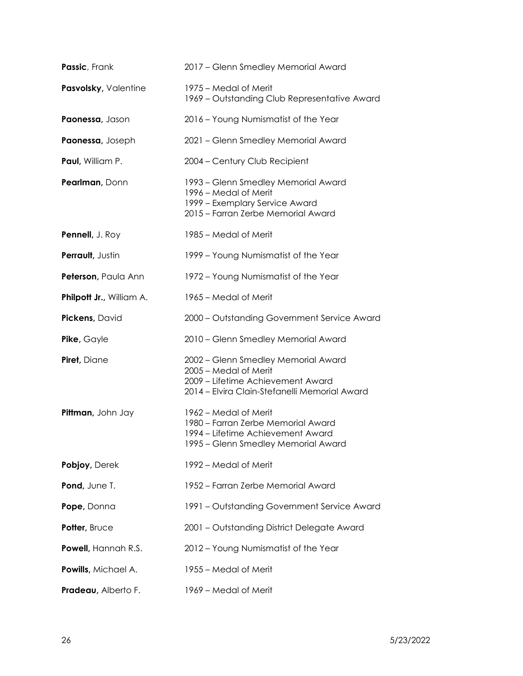| Passic, Frank            | 2017 - Glenn Smedley Memorial Award                                                                                                                |
|--------------------------|----------------------------------------------------------------------------------------------------------------------------------------------------|
| Pasvolsky, Valentine     | 1975 – Medal of Merit<br>1969 – Outstanding Club Representative Award                                                                              |
| Paonessa, Jason          | 2016 - Young Numismatist of the Year                                                                                                               |
| Paonessa, Joseph         | 2021 - Glenn Smedley Memorial Award                                                                                                                |
| Paul, William P.         | 2004 - Century Club Recipient                                                                                                                      |
| Pearlman, Donn           | 1993 – Glenn Smedley Memorial Award<br>1996 – Medal of Merit<br>1999 - Exemplary Service Award<br>2015 – Farran Zerbe Memorial Award               |
| Pennell, J. Roy          | 1985 – Medal of Merit                                                                                                                              |
| Perrault, Justin         | 1999 - Young Numismatist of the Year                                                                                                               |
| Peterson, Paula Ann      | 1972 - Young Numismatist of the Year                                                                                                               |
| Philpott Jr., William A. | 1965 – Medal of Merit                                                                                                                              |
| Pickens, David           | 2000 - Outstanding Government Service Award                                                                                                        |
| Pike, Gayle              | 2010 - Glenn Smedley Memorial Award                                                                                                                |
| Piret, Diane             | 2002 - Glenn Smedley Memorial Award<br>2005 - Medal of Merit<br>2009 - Lifetime Achievement Award<br>2014 - Elvira Clain-Stefanelli Memorial Award |
| Pittman, John Jay        | 1962 – Medal of Merit<br>1980 - Farran Zerbe Memorial Award<br>1994 – Lifetime Achievement Award<br>1995 - Glenn Smedley Memorial Award            |
| Pobjoy, Derek            | 1992 – Medal of Merit                                                                                                                              |
| Pond, June T.            | 1952 – Farran Zerbe Memorial Award                                                                                                                 |
| Pope, Donna              | 1991 – Outstanding Government Service Award                                                                                                        |
| Potter, Bruce            | 2001 - Outstanding District Delegate Award                                                                                                         |
| Powell, Hannah R.S.      | 2012 - Young Numismatist of the Year                                                                                                               |
| Powills, Michael A.      | 1955 - Medal of Merit                                                                                                                              |
| Pradeau, Alberto F.      | 1969 - Medal of Merit                                                                                                                              |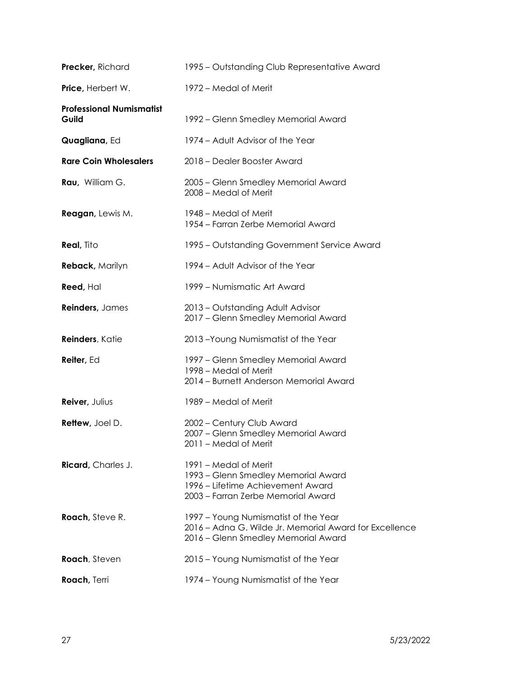| Precker, Richard                         | 1995 - Outstanding Club Representative Award                                                                                            |
|------------------------------------------|-----------------------------------------------------------------------------------------------------------------------------------------|
| Price, Herbert W.                        | 1972 – Medal of Merit                                                                                                                   |
| <b>Professional Numismatist</b><br>Guild | 1992 – Glenn Smedley Memorial Award                                                                                                     |
| Quagliana, Ed                            | 1974 - Adult Advisor of the Year                                                                                                        |
| <b>Rare Coin Wholesalers</b>             | 2018 – Dealer Booster Award                                                                                                             |
| Rau, William G.                          | 2005 - Glenn Smedley Memorial Award<br>2008 – Medal of Merit                                                                            |
| <b>Reagan</b> , Lewis M.                 | 1948 – Medal of Merit<br>1954 – Farran Zerbe Memorial Award                                                                             |
| <b>Real, Tito</b>                        | 1995 – Outstanding Government Service Award                                                                                             |
| <b>Reback, Marilyn</b>                   | 1994 - Adult Advisor of the Year                                                                                                        |
| Reed, Hal                                | 1999 – Numismatic Art Award                                                                                                             |
| Reinders, James                          | 2013 - Outstanding Adult Advisor<br>2017 - Glenn Smedley Memorial Award                                                                 |
| Reinders, Katie                          | 2013-Young Numismatist of the Year                                                                                                      |
| Reiter, Ed                               | 1997 – Glenn Smedley Memorial Award<br>1998 - Medal of Merit<br>2014 - Burnett Anderson Memorial Award                                  |
| Reiver, Julius                           | 1989 – Medal of Merit                                                                                                                   |
| Rettew, Joel D.                          | 2002 - Century Club Award<br>2007 - Glenn Smedley Memorial Award<br>2011 - Medal of Merit                                               |
| Ricard, Charles J.                       | 1991 – Medal of Merit<br>1993 – Glenn Smedley Memorial Award<br>1996 – Lifetime Achievement Award<br>2003 - Farran Zerbe Memorial Award |
| <b>Roach</b> , Steve R.                  | 1997 - Young Numismatist of the Year<br>2016 – Adna G. Wilde Jr. Memorial Award for Excellence<br>2016 - Glenn Smedley Memorial Award   |
| Roach, Steven                            | 2015 - Young Numismatist of the Year                                                                                                    |
| Roach, Terri                             | 1974 - Young Numismatist of the Year                                                                                                    |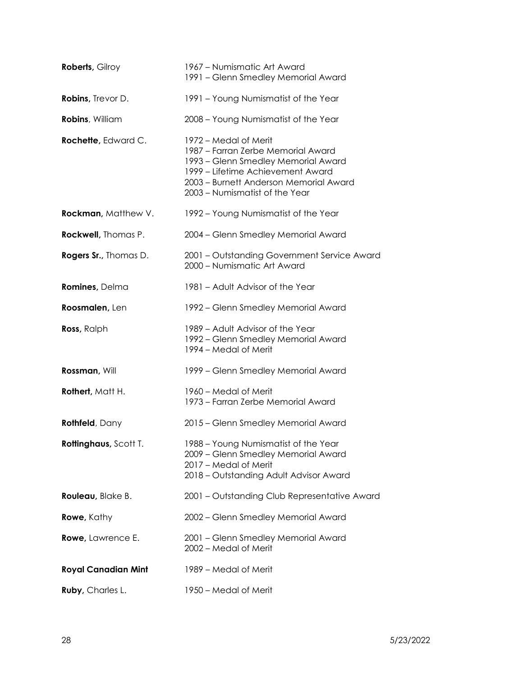| <b>Roberts, Gilroy</b>     | 1967 – Numismatic Art Award<br>1991 - Glenn Smedley Memorial Award                                                                                                                                                  |
|----------------------------|---------------------------------------------------------------------------------------------------------------------------------------------------------------------------------------------------------------------|
| <b>Robins, Trevor D.</b>   | 1991 - Young Numismatist of the Year                                                                                                                                                                                |
| Robins, William            | 2008 - Young Numismatist of the Year                                                                                                                                                                                |
| Rochette, Edward C.        | 1972 – Medal of Merit<br>1987 - Farran Zerbe Memorial Award<br>1993 - Glenn Smedley Memorial Award<br>1999 – Lifetime Achievement Award<br>2003 - Burnett Anderson Memorial Award<br>2003 - Numismatist of the Year |
| Rockman, Matthew V.        | 1992 – Young Numismatist of the Year                                                                                                                                                                                |
| Rockwell, Thomas P.        | 2004 - Glenn Smedley Memorial Award                                                                                                                                                                                 |
| Rogers Sr., Thomas D.      | 2001 - Outstanding Government Service Award<br>2000 - Numismatic Art Award                                                                                                                                          |
| Romines, Delma             | 1981 - Adult Advisor of the Year                                                                                                                                                                                    |
| Roosmalen, Len             | 1992 – Glenn Smedley Memorial Award                                                                                                                                                                                 |
| Ross, Ralph                | 1989 - Adult Advisor of the Year<br>1992 - Glenn Smedley Memorial Award<br>1994 – Medal of Merit                                                                                                                    |
| Rossman, Will              | 1999 – Glenn Smedley Memorial Award                                                                                                                                                                                 |
| Rothert, Matt H.           | 1960 – Medal of Merit<br>1973 - Farran Zerbe Memorial Award                                                                                                                                                         |
| <b>Rothfeld</b> , Dany     | 2015 - Glenn Smedley Memorial Award                                                                                                                                                                                 |
| Rottinghaus, Scott T.      | 1988 - Young Numismatist of the Year<br>2009 - Glenn Smedley Memorial Award<br>2017 - Medal of Merit<br>2018 - Outstanding Adult Advisor Award                                                                      |
| Rouleau, Blake B.          | 2001 - Outstanding Club Representative Award                                                                                                                                                                        |
| <b>Rowe</b> , Kathy        | 2002 - Glenn Smedley Memorial Award                                                                                                                                                                                 |
| Rowe, Lawrence E.          | 2001 - Glenn Smedley Memorial Award<br>2002 - Medal of Merit                                                                                                                                                        |
| <b>Royal Canadian Mint</b> | 1989 - Medal of Merit                                                                                                                                                                                               |
| Ruby, Charles L.           | 1950 - Medal of Merit                                                                                                                                                                                               |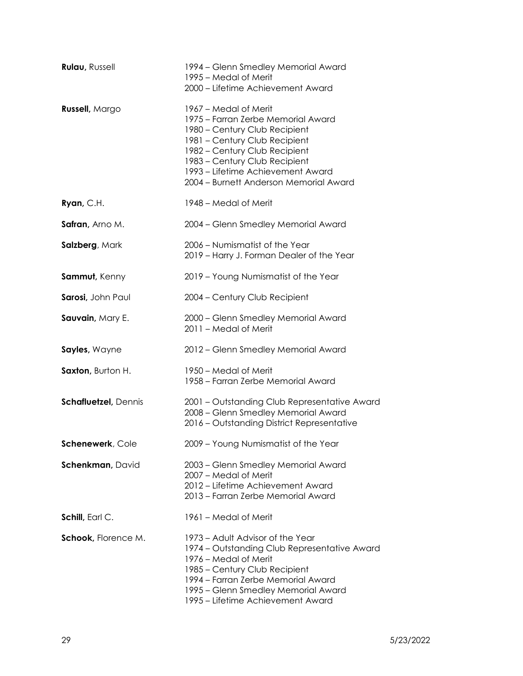| <b>Rulau, Russell</b>       | 1994 – Glenn Smedley Memorial Award<br>1995 – Medal of Merit<br>2000 - Lifetime Achievement Award                                                                                                                                                                              |
|-----------------------------|--------------------------------------------------------------------------------------------------------------------------------------------------------------------------------------------------------------------------------------------------------------------------------|
| <b>Russell</b> , Margo      | 1967 – Medal of Merit<br>1975 – Farran Zerbe Memorial Award<br>1980 - Century Club Recipient<br>1981 - Century Club Recipient<br>1982 - Century Club Recipient<br>1983 - Century Club Recipient<br>1993 – Lifetime Achievement Award<br>2004 - Burnett Anderson Memorial Award |
| Ryan, C.H.                  | 1948 – Medal of Merit                                                                                                                                                                                                                                                          |
| Safran, Arno M.             | 2004 - Glenn Smedley Memorial Award                                                                                                                                                                                                                                            |
| Salzberg, Mark              | 2006 - Numismatist of the Year<br>2019 - Harry J. Forman Dealer of the Year                                                                                                                                                                                                    |
| Sammut, Kenny               | 2019 - Young Numismatist of the Year                                                                                                                                                                                                                                           |
| Sarosi, John Paul           | 2004 - Century Club Recipient                                                                                                                                                                                                                                                  |
| Sauvain, Mary E.            | 2000 - Glenn Smedley Memorial Award<br>2011 - Medal of Merit                                                                                                                                                                                                                   |
| Sayles, Wayne               | 2012 - Glenn Smedley Memorial Award                                                                                                                                                                                                                                            |
| Saxton, Burton H.           | 1950 – Medal of Merit<br>1958 - Farran Zerbe Memorial Award                                                                                                                                                                                                                    |
| <b>Schafluetzel, Dennis</b> | 2001 - Outstanding Club Representative Award<br>2008 - Glenn Smedley Memorial Award<br>2016 - Outstanding District Representative                                                                                                                                              |
| Schenewerk, Cole            | 2009 - Young Numismatist of the Year                                                                                                                                                                                                                                           |
| Schenkman, David            | 2003 - Glenn Smedley Memorial Award<br>2007 – Medal of Merit<br>2012 – Lifetime Achievement Award<br>2013 - Farran Zerbe Memorial Award                                                                                                                                        |
| Schill, Earl C.             | 1961 – Medal of Merit                                                                                                                                                                                                                                                          |
| Schook, Florence M.         | 1973 – Adult Advisor of the Year<br>1974 – Outstanding Club Representative Award<br>1976 – Medal of Merit<br>1985 – Century Club Recipient<br>1994 – Farran Zerbe Memorial Award<br>1995 – Glenn Smedley Memorial Award<br>1995 – Lifetime Achievement Award                   |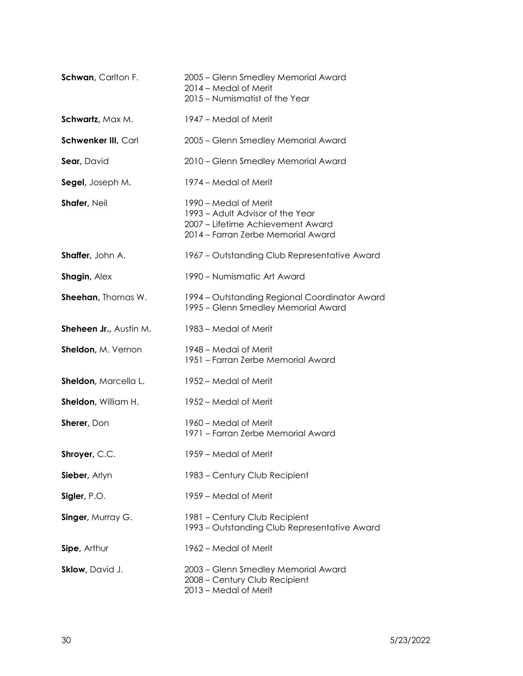| Schwan, Carlton F.            | 2005 – Glenn Smedley Memorial Award<br>2014 - Medal of Merit<br>2015 - Numismatist of the Year                                       |
|-------------------------------|--------------------------------------------------------------------------------------------------------------------------------------|
| Schwartz, Max M.              | 1947 – Medal of Merit                                                                                                                |
| Schwenker III, Carl           | 2005 – Glenn Smedley Memorial Award                                                                                                  |
| Sear, David                   | 2010 - Glenn Smedley Memorial Award                                                                                                  |
| Segel, Joseph M.              | 1974 – Medal of Merit                                                                                                                |
| Shafer, Neil                  | 1990 – Medal of Merit<br>1993 – Adult Advisor of the Year<br>2007 - Lifetime Achievement Award<br>2014 - Farran Zerbe Memorial Award |
| Shaffer, John A.              | 1967 – Outstanding Club Representative Award                                                                                         |
| Shagin, Alex                  | 1990 - Numismatic Art Award                                                                                                          |
| Sheehan, Thomas W.            | 1994 – Outstanding Regional Coordinator Award<br>1995 - Glenn Smedley Memorial Award                                                 |
| <b>Sheheen Jr., Austin M.</b> | 1983 – Medal of Merit                                                                                                                |
| Sheldon, M. Vernon            | 1948 – Medal of Merit<br>1951 - Farran Zerbe Memorial Award                                                                          |
| Sheldon, Marcella L.          | 1952 – Medal of Merit                                                                                                                |
| Sheldon, William H.           | 1952 – Medal of Merit                                                                                                                |
| Sherer, Don                   | 1960 – Medal of Merit<br>1971 - Farran Zerbe Memorial Award                                                                          |
| Shroyer, C.C.                 | 1959 – Medal of Merit                                                                                                                |
| Sieber, Arlyn                 | 1983 - Century Club Recipient                                                                                                        |
| Sigler, P.O.                  | 1959 – Medal of Merit                                                                                                                |
| Singer, Murray G.             | 1981 - Century Club Recipient<br>1993 – Outstanding Club Representative Award                                                        |
| Sipe, Arthur                  | 1962 – Medal of Merit                                                                                                                |
| Sklow, David J.               | 2003 - Glenn Smedley Memorial Award<br>2008 - Century Club Recipient<br>2013 - Medal of Merit                                        |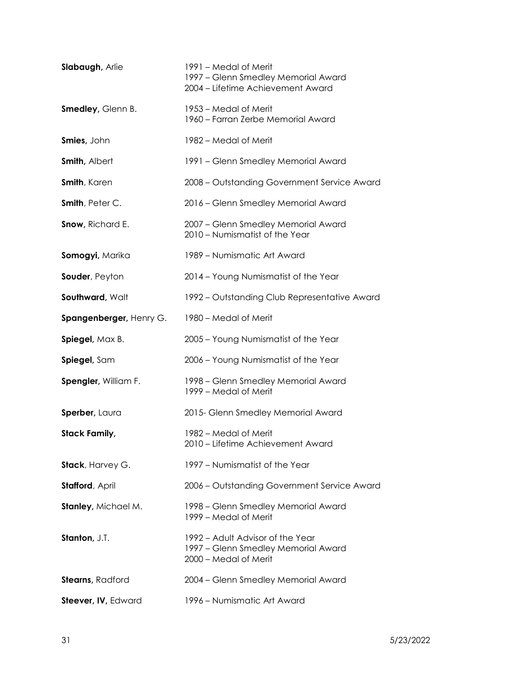| Slabaugh, Arlie          | 1991 – Medal of Merit<br>1997 - Glenn Smedley Memorial Award<br>2004 - Lifetime Achievement Award |
|--------------------------|---------------------------------------------------------------------------------------------------|
| Smedley, Glenn B.        | 1953 – Medal of Merit<br>1960 – Farran Zerbe Memorial Award                                       |
| Smies, John              | 1982 – Medal of Merit                                                                             |
| Smith, Albert            | 1991 - Glenn Smedley Memorial Award                                                               |
| Smith, Karen             | 2008 - Outstanding Government Service Award                                                       |
| Smith, Peter C.          | 2016 - Glenn Smedley Memorial Award                                                               |
| Snow, Richard E.         | 2007 - Glenn Smedley Memorial Award<br>2010 - Numismatist of the Year                             |
| Somogyi, Marika          | 1989 – Numismatic Art Award                                                                       |
| Souder, Peyton           | 2014 - Young Numismatist of the Year                                                              |
| Southward, Walt          | 1992 – Outstanding Club Representative Award                                                      |
| Spangenberger, Henry G.  | 1980 – Medal of Merit                                                                             |
| Spiegel, Max B.          | 2005 - Young Numismatist of the Year                                                              |
| Spiegel, Sam             | 2006 - Young Numismatist of the Year                                                              |
| Spengler, William F.     | 1998 – Glenn Smedley Memorial Award<br>1999 – Medal of Merit                                      |
| Sperber, Laura           | 2015- Glenn Smedley Memorial Award                                                                |
| <b>Stack Family,</b>     | 1982 – Medal of Merit<br>2010 – Lifetime Achievement Award                                        |
| Stack, Harvey G.         | 1997 - Numismatist of the Year                                                                    |
| Stafford, April          | 2006 - Outstanding Government Service Award                                                       |
| Stanley, Michael M.      | 1998 - Glenn Smedley Memorial Award<br>1999 – Medal of Merit                                      |
| Stanton, J.T.            | 1992 – Adult Advisor of the Year<br>1997 – Glenn Smedley Memorial Award<br>2000 - Medal of Merit  |
| <b>Stearns</b> , Radford | 2004 - Glenn Smedley Memorial Award                                                               |
| Steever, IV, Edward      | 1996 - Numismatic Art Award                                                                       |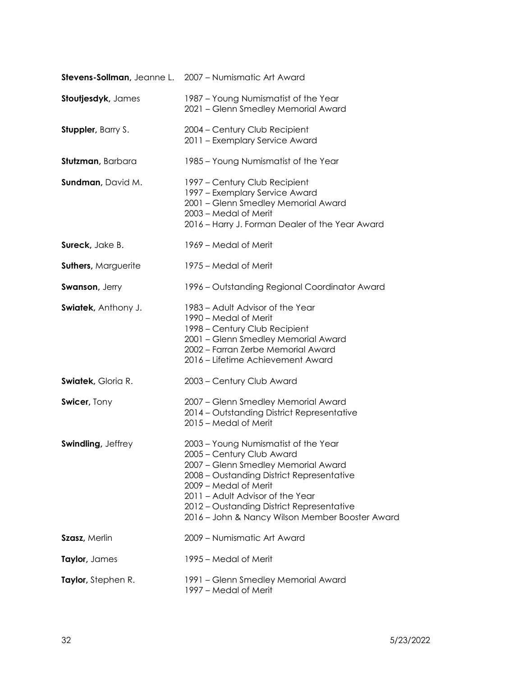|                            | Stevens-Sollman, Jeanne L. 2007 - Numismatic Art Award                                                                                                                                                                                                                                                             |
|----------------------------|--------------------------------------------------------------------------------------------------------------------------------------------------------------------------------------------------------------------------------------------------------------------------------------------------------------------|
| Stoutjesdyk, James         | 1987 - Young Numismatist of the Year<br>2021 - Glenn Smedley Memorial Award                                                                                                                                                                                                                                        |
| <b>Stuppler</b> , Barry S. | 2004 - Century Club Recipient<br>2011 - Exemplary Service Award                                                                                                                                                                                                                                                    |
| Stutzman, Barbara          | 1985 - Young Numismatist of the Year                                                                                                                                                                                                                                                                               |
| Sundman, David M.          | 1997 – Century Club Recipient<br>1997 - Exemplary Service Award<br>2001 - Glenn Smedley Memorial Award<br>2003 – Medal of Merit<br>2016 - Harry J. Forman Dealer of the Year Award                                                                                                                                 |
| <b>Sureck</b> , Jake B.    | 1969 – Medal of Merit                                                                                                                                                                                                                                                                                              |
| <b>Suthers, Marguerite</b> | 1975 – Medal of Merit                                                                                                                                                                                                                                                                                              |
| <b>Swanson, Jerry</b>      | 1996 - Outstanding Regional Coordinator Award                                                                                                                                                                                                                                                                      |
| Swiatek, Anthony J.        | 1983 – Adult Advisor of the Year<br>1990 – Medal of Merit<br>1998 – Century Club Recipient<br>2001 - Glenn Smedley Memorial Award<br>2002 - Farran Zerbe Memorial Award<br>2016 – Lifetime Achievement Award                                                                                                       |
| <b>Swiatek, Gloria R.</b>  | 2003 - Century Club Award                                                                                                                                                                                                                                                                                          |
| Swicer, Tony               | 2007 - Glenn Smedley Memorial Award<br>2014 - Outstanding District Representative<br>2015 - Medal of Merit                                                                                                                                                                                                         |
| Swindling, Jeffrey         | 2003 - Young Numismatist of the Year<br>2005 - Century Club Award<br>2007 - Glenn Smedley Memorial Award<br>2008 - Oustanding District Representative<br>2009 – Medal of Merit<br>2011 - Adult Advisor of the Year<br>2012 - Oustanding District Representative<br>2016 - John & Nancy Wilson Member Booster Award |
| <b>Szasz</b> , Merlin      | 2009 - Numismatic Art Award                                                                                                                                                                                                                                                                                        |
| Taylor, James              | 1995 – Medal of Merit                                                                                                                                                                                                                                                                                              |
| Taylor, Stephen R.         | 1991 - Glenn Smedley Memorial Award<br>1997 – Medal of Merit                                                                                                                                                                                                                                                       |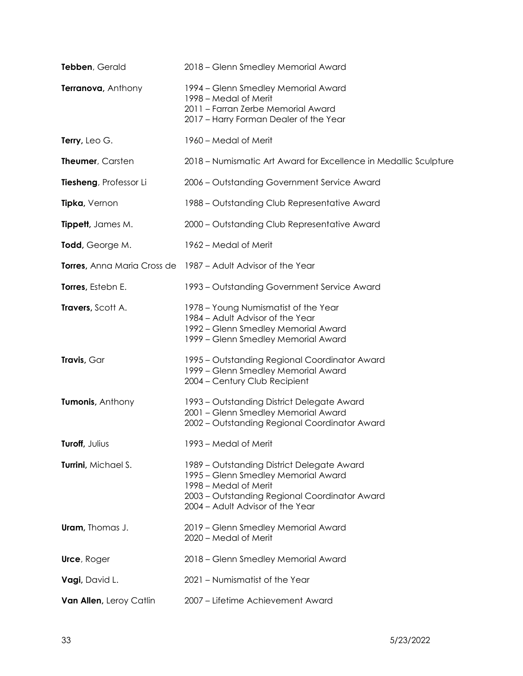| Tebben, Gerald          | 2018 - Glenn Smedley Memorial Award                                                                                                                                                             |
|-------------------------|-------------------------------------------------------------------------------------------------------------------------------------------------------------------------------------------------|
| Terranova, Anthony      | 1994 – Glenn Smedley Memorial Award<br>1998 – Medal of Merit<br>2011 - Farran Zerbe Memorial Award<br>2017 - Harry Forman Dealer of the Year                                                    |
| Terry, Leo G.           | 1960 – Medal of Merit                                                                                                                                                                           |
| Theumer, Carsten        | 2018 – Numismatic Art Award for Excellence in Medallic Sculpture                                                                                                                                |
| Tiesheng, Professor Li  | 2006 - Outstanding Government Service Award                                                                                                                                                     |
| Tipka, Vernon           | 1988 - Outstanding Club Representative Award                                                                                                                                                    |
| Tippett, James M.       | 2000 - Outstanding Club Representative Award                                                                                                                                                    |
| Todd, George M.         | 1962 – Medal of Merit                                                                                                                                                                           |
|                         | <b>Torres, Anna Maria Cross de</b> 1987 – Adult Advisor of the Year                                                                                                                             |
| Torres, Estebn E.       | 1993 – Outstanding Government Service Award                                                                                                                                                     |
| Travers, Scott A.       | 1978 - Young Numismatist of the Year<br>1984 - Adult Advisor of the Year<br>1992 - Glenn Smedley Memorial Award<br>1999 - Glenn Smedley Memorial Award                                          |
| Travis, Gar             | 1995 – Outstanding Regional Coordinator Award<br>1999 - Glenn Smedley Memorial Award<br>2004 - Century Club Recipient                                                                           |
| Tumonis, Anthony        | 1993 – Outstanding District Delegate Award<br>2001 - Glenn Smedley Memorial Award<br>2002 - Outstanding Regional Coordinator Award                                                              |
| Turoff, Julius          | 1993 - Medal of Merit                                                                                                                                                                           |
| Turrini, Michael S.     | 1989 - Outstanding District Delegate Award<br>1995 – Glenn Smedley Memorial Award<br>1998 – Medal of Merit<br>2003 - Outstanding Regional Coordinator Award<br>2004 - Adult Advisor of the Year |
| <b>Uram</b> , Thomas J. | 2019 - Glenn Smedley Memorial Award<br>2020 – Medal of Merit                                                                                                                                    |
| <b>Urce, Roger</b>      | 2018 - Glenn Smedley Memorial Award                                                                                                                                                             |
| Vagi, David L.          | 2021 - Numismatist of the Year                                                                                                                                                                  |
| Van Allen, Leroy Catlin | 2007 - Lifetime Achievement Award                                                                                                                                                               |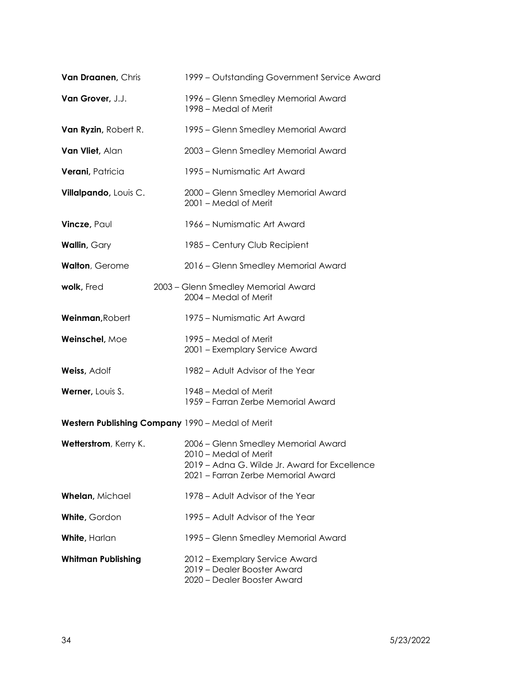| Van Draanen, Chris                               | 1999 - Outstanding Government Service Award                                                                                                         |
|--------------------------------------------------|-----------------------------------------------------------------------------------------------------------------------------------------------------|
| Van Grover, J.J.                                 | 1996 – Glenn Smedley Memorial Award<br>1998 – Medal of Merit                                                                                        |
| Van Ryzin, Robert R.                             | 1995 – Glenn Smedley Memorial Award                                                                                                                 |
| Van Vliet, Alan                                  | 2003 - Glenn Smedley Memorial Award                                                                                                                 |
| Verani, Patricia                                 | 1995 – Numismatic Art Award                                                                                                                         |
| Villalpando, Louis C.                            | 2000 - Glenn Smedley Memorial Award<br>2001 - Medal of Merit                                                                                        |
| Vincze, Paul                                     | 1966 – Numismatic Art Award                                                                                                                         |
| Wallin, Gary                                     | 1985 – Century Club Recipient                                                                                                                       |
| Walton, Gerome                                   | 2016 - Glenn Smedley Memorial Award                                                                                                                 |
| wolk, Fred                                       | 2003 - Glenn Smedley Memorial Award<br>2004 - Medal of Merit                                                                                        |
| Weinman, Robert                                  | 1975 – Numismatic Art Award                                                                                                                         |
| Weinschel, Moe                                   | 1995 – Medal of Merit<br>2001 - Exemplary Service Award                                                                                             |
| Weiss, Adolf                                     | 1982 – Adult Advisor of the Year                                                                                                                    |
| Werner, Louis S.                                 | 1948 – Medal of Merit<br>1959 - Farran Zerbe Memorial Award                                                                                         |
| Western Publishing Company 1990 - Medal of Merit |                                                                                                                                                     |
| Wetterstrom, Kerry K.                            | 2006 - Glenn Smedley Memorial Award<br>2010 – Medal of Merit<br>2019 – Adna G. Wilde Jr. Award for Excellence<br>2021 - Farran Zerbe Memorial Award |
| Whelan, Michael                                  | 1978 – Adult Advisor of the Year                                                                                                                    |
| White, Gordon                                    | 1995 – Adult Advisor of the Year                                                                                                                    |
| <b>White, Harlan</b>                             | 1995 – Glenn Smedley Memorial Award                                                                                                                 |
| <b>Whitman Publishing</b>                        | 2012 – Exemplary Service Award<br>2019 - Dealer Booster Award<br>2020 - Dealer Booster Award                                                        |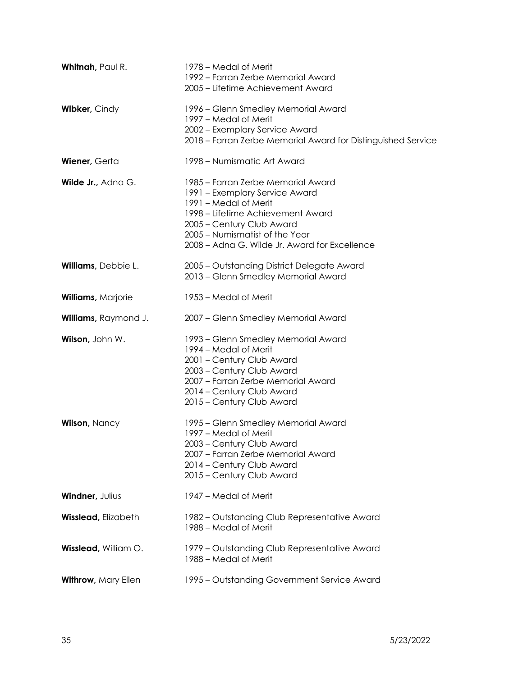| Whitnah, Paul R.           | 1978 – Medal of Merit<br>1992 – Farran Zerbe Memorial Award<br>2005 – Lifetime Achievement Award                                                                                                                                                   |
|----------------------------|----------------------------------------------------------------------------------------------------------------------------------------------------------------------------------------------------------------------------------------------------|
| Wibker, Cindy              | 1996 – Glenn Smedley Memorial Award<br>1997 – Medal of Merit<br>2002 - Exemplary Service Award<br>2018 – Farran Zerbe Memorial Award for Distinguished Service                                                                                     |
| Wiener, Gerta              | 1998 – Numismatic Art Award                                                                                                                                                                                                                        |
| Wilde Jr., Adna G.         | 1985 – Farran Zerbe Memorial Award<br>1991 - Exemplary Service Award<br>1991 – Medal of Merit<br>1998 – Lifetime Achievement Award<br>2005 - Century Club Award<br>2005 - Numismatist of the Year<br>2008 - Adna G. Wilde Jr. Award for Excellence |
| Williams, Debbie L.        | 2005 - Outstanding District Delegate Award<br>2013 - Glenn Smedley Memorial Award                                                                                                                                                                  |
| Williams, Marjorie         | 1953 – Medal of Merit                                                                                                                                                                                                                              |
| Williams, Raymond J.       | 2007 - Glenn Smedley Memorial Award                                                                                                                                                                                                                |
| Wilson, John W.            | 1993 – Glenn Smedley Memorial Award<br>1994 – Medal of Merit<br>2001 - Century Club Award<br>2003 - Century Club Award<br>2007 - Farran Zerbe Memorial Award<br>2014 - Century Club Award<br>2015 - Century Club Award                             |
| <b>Wilson, Nancy</b>       | 1995 – Glenn Smedley Memorial Award<br>1997 - Medal of Merit<br>2003 - Century Club Award<br>2007 – Farran Zerbe Memorial Award<br>2014 - Century Club Award<br>2015 - Century Club Award                                                          |
| Windner, Julius            | 1947 – Medal of Merit                                                                                                                                                                                                                              |
| <b>Wisslead, Elizabeth</b> | 1982 – Outstanding Club Representative Award<br>1988 – Medal of Merit                                                                                                                                                                              |
| Wisslead, William O.       | 1979 – Outstanding Club Representative Award<br>1988 – Medal of Merit                                                                                                                                                                              |
| Withrow, Mary Ellen        | 1995 – Outstanding Government Service Award                                                                                                                                                                                                        |